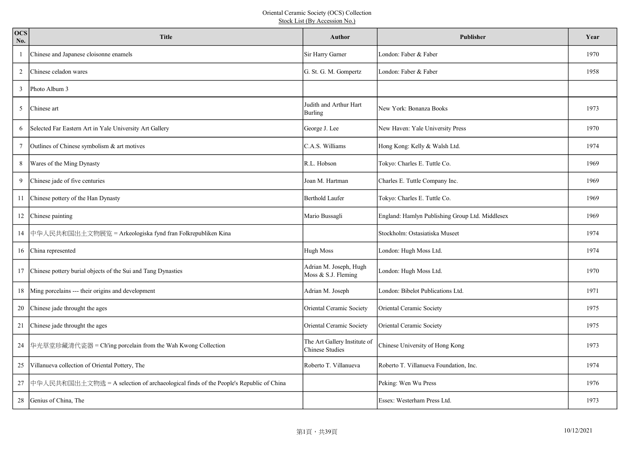| <b>OCS</b><br>No. | <b>Title</b>                                                                         | <b>Author</b>                                          | <b>Publisher</b>                                | Year |
|-------------------|--------------------------------------------------------------------------------------|--------------------------------------------------------|-------------------------------------------------|------|
| -1                | Chinese and Japanese cloisonne enamels                                               | Sir Harry Garner                                       | London: Faber & Faber                           | 1970 |
| 2                 | Chinese celadon wares                                                                | G. St. G. M. Gompertz                                  | London: Faber & Faber                           | 1958 |
| 3                 | Photo Album 3                                                                        |                                                        |                                                 |      |
| 5                 | Chinese art                                                                          | Judith and Arthur Hart<br>Burling                      | New York: Bonanza Books                         | 1973 |
| 6                 | Selected Far Eastern Art in Yale University Art Gallery                              | George J. Lee                                          | New Haven: Yale University Press                | 1970 |
| 7                 | Outlines of Chinese symbolism & art motives                                          | C.A.S. Williams                                        | Hong Kong: Kelly & Walsh Ltd.                   | 1974 |
| 8                 | Wares of the Ming Dynasty                                                            | R.L. Hobson                                            | Tokyo: Charles E. Tuttle Co.                    | 1969 |
| 9                 | Chinese jade of five centuries                                                       | Joan M. Hartman                                        | Charles E. Tuttle Company Inc.                  | 1969 |
| 11                | Chinese pottery of the Han Dynasty                                                   | <b>Berthold Laufer</b>                                 | Tokyo: Charles E. Tuttle Co.                    | 1969 |
|                   | 12 Chinese painting                                                                  | Mario Bussagli                                         | England: Hamlyn Publishing Group Ltd. Middlesex | 1969 |
| 14                | 中华人民共和国出土文物展览 = Arkeologiska fynd fran Folkrepubliken Kina                           |                                                        | Stockholm: Ostasiatiska Museet                  | 1974 |
|                   | 16 China represented                                                                 | <b>Hugh Moss</b>                                       | London: Hugh Moss Ltd.                          | 1974 |
|                   | 17 Chinese pottery burial objects of the Sui and Tang Dynasties                      | Adrian M. Joseph, Hugh<br>Moss & S.J. Fleming          | London: Hugh Moss Ltd.                          | 1970 |
|                   | 18 Ming porcelains --- their origins and development                                 | Adrian M. Joseph                                       | London: Bibelot Publications Ltd.               | 1971 |
| 20                | Chinese jade throught the ages                                                       | Oriental Ceramic Society                               | Oriental Ceramic Society                        | 1975 |
| 21                | Chinese jade throught the ages                                                       | Oriental Ceramic Society                               | Oriental Ceramic Society                        | 1975 |
| 24                | 华光草堂珍藏清代瓷器 = Ch'ing porcelain from the Wah Kwong Collection                          | The Art Gallery Institute of<br><b>Chinese Studies</b> | Chinese University of Hong Kong                 | 1973 |
| 25                | Villanueva collection of Oriental Pottery, The                                       | Roberto T. Villanueva                                  | Roberto T. Villanueva Foundation, Inc.          | 1974 |
| 27                | 中华人民共和国出土文物选 = A selection of archaeological finds of the People's Republic of China |                                                        | Peking: Wen Wu Press                            | 1976 |
| 28                | Genius of China, The                                                                 |                                                        | Essex: Westerham Press Ltd.                     | 1973 |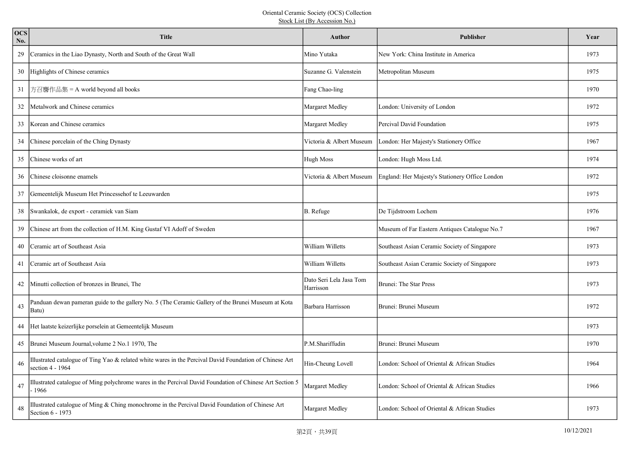| <b>OCS</b><br>No. | <b>Title</b>                                                                                                                  | <b>Author</b>                        | <b>Publisher</b>                                | Year |
|-------------------|-------------------------------------------------------------------------------------------------------------------------------|--------------------------------------|-------------------------------------------------|------|
| 29                | Ceramics in the Liao Dynasty, North and South of the Great Wall                                                               | Mino Yutaka                          | New York: China Institute in America            | 1973 |
| 30                | Highlights of Chinese ceramics                                                                                                | Suzanne G. Valenstein                | Metropolitan Museum                             | 1975 |
| 31                | 方召麐作品集 = A world beyond all books                                                                                             | Fang Chao-ling                       |                                                 | 1970 |
| 32                | Metalwork and Chinese ceramics                                                                                                | Margaret Medley                      | London: University of London                    | 1972 |
| 33                | Korean and Chinese ceramics                                                                                                   | Margaret Medley                      | Percival David Foundation                       | 1975 |
| 34                | Chinese porcelain of the Ching Dynasty                                                                                        | Victoria & Albert Museum             | London: Her Majesty's Stationery Office         | 1967 |
| 35                | Chinese works of art                                                                                                          | Hugh Moss                            | London: Hugh Moss Ltd.                          | 1974 |
| 36                | Chinese cloisonne enamels                                                                                                     | Victoria & Albert Museum             | England: Her Majesty's Stationery Office London | 1972 |
| 37                | Gemeentelijk Museum Het Princessehof te Leeuwarden                                                                            |                                      |                                                 | 1975 |
| 38                | Swankalok, de export - ceramiek van Siam                                                                                      | B. Refuge                            | De Tijdstroom Lochem                            | 1976 |
| 39                | Chinese art from the collection of H.M. King Gustaf VI Adoff of Sweden                                                        |                                      | Museum of Far Eastern Antiques Catalogue No.7   | 1967 |
| 40                | Ceramic art of Southeast Asia                                                                                                 | William Willetts                     | Southeast Asian Ceramic Society of Singapore    | 1973 |
| 41                | Ceramic art of Southeast Asia                                                                                                 | William Willetts                     | Southeast Asian Ceramic Society of Singapore    | 1973 |
| 42                | Minutti collection of bronzes in Brunei, The                                                                                  | Dato Seri Lela Jasa Tom<br>Harrisson | Brunei: The Star Press                          | 1973 |
| 43                | Panduan dewan pameran guide to the gallery No. 5 (The Ceramic Gallery of the Brunei Museum at Kota<br>Batu)                   | Barbara Harrisson                    | Brunei: Brunei Museum                           | 1972 |
| 44                | Het laatste keizerlijke porselein at Gemeentelijk Museum                                                                      |                                      |                                                 | 1973 |
| 45                | Brunei Museum Journal, volume 2 No.1 1970, The                                                                                | P.M.Shariffudin                      | Brunei: Brunei Museum                           | 1970 |
| 46                | Illustrated catalogue of Ting Yao & related white wares in the Percival David Foundation of Chinese Art<br>section $4 - 1964$ | Hin-Cheung Lovell                    | London: School of Oriental & African Studies    | 1964 |
| 47                | Illustrated catalogue of Ming polychrome wares in the Percival David Foundation of Chinese Art Section 5<br>1966              | Margaret Medley                      | London: School of Oriental & African Studies    | 1966 |
| 48                | Illustrated catalogue of Ming & Ching monochrome in the Percival David Foundation of Chinese Art<br>Section 6 - 1973          | Margaret Medley                      | London: School of Oriental & African Studies    | 1973 |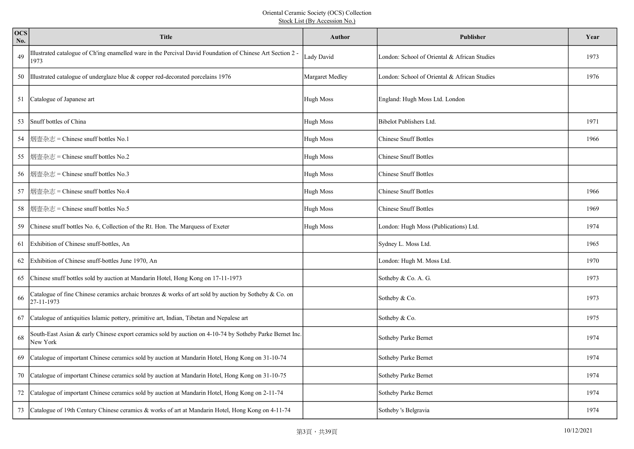| <b>OCS</b><br>No. | <b>Title</b>                                                                                                         | Author           | Publisher                                    | Year |
|-------------------|----------------------------------------------------------------------------------------------------------------------|------------------|----------------------------------------------|------|
| 49                | Illustrated catalogue of Ch'ing enamelled ware in the Percival David Foundation of Chinese Art Section 2 -<br>1973   | Lady David       | London: School of Oriental & African Studies | 1973 |
| 50                | Illustrated catalogue of underglaze blue & copper red-decorated porcelains 1976                                      | Margaret Medley  | London: School of Oriental & African Studies | 1976 |
| 51                | Catalogue of Japanese art                                                                                            | Hugh Moss        | England: Hugh Moss Ltd. London               |      |
| 53                | Snuff bottles of China                                                                                               | <b>Hugh Moss</b> | Bibelot Publishers Ltd.                      | 1971 |
| -54               | 烟壶杂志 = Chinese snuff bottles No.1                                                                                    | Hugh Moss        | <b>Chinese Snuff Bottles</b>                 | 1966 |
| 55                | 烟壶杂志 = Chinese snuff bottles No.2                                                                                    | Hugh Moss        | <b>Chinese Snuff Bottles</b>                 |      |
| 56                | 烟壶杂志 = Chinese snuff bottles No.3                                                                                    | Hugh Moss        | <b>Chinese Snuff Bottles</b>                 |      |
| 57                | 烟壶杂志 = Chinese snuff bottles No.4                                                                                    | Hugh Moss        | <b>Chinese Snuff Bottles</b>                 | 1966 |
| 58                | 烟壶杂志 = Chinese snuff bottles No.5                                                                                    | Hugh Moss        | <b>Chinese Snuff Bottles</b>                 | 1969 |
| 59                | Chinese snuff bottles No. 6, Collection of the Rt. Hon. The Marquess of Exeter                                       | Hugh Moss        | London: Hugh Moss (Publications) Ltd.        | 1974 |
| 61                | Exhibition of Chinese snuff-bottles, An                                                                              |                  | Sydney L. Moss Ltd.                          | 1965 |
| 62                | Exhibition of Chinese snuff-bottles June 1970, An                                                                    |                  | London: Hugh M. Moss Ltd.                    | 1970 |
| 65                | Chinese snuff bottles sold by auction at Mandarin Hotel, Hong Kong on 17-11-1973                                     |                  | Sotheby & Co. A. G.                          | 1973 |
| 66                | Catalogue of fine Chinese ceramics archaic bronzes & works of art sold by auction by Sotheby & Co. on<br>27-11-1973  |                  | Sotheby & Co.                                | 1973 |
| 67                | Catalogue of antiquities Islamic pottery, primitive art, Indian, Tibetan and Nepalese art                            |                  | Sotheby & Co.                                | 1975 |
| 68                | South-East Asian & early Chinese export ceramics sold by auction on 4-10-74 by Sotheby Parke Bernet Inc.<br>New York |                  | Sotheby Parke Bernet                         | 1974 |
| 69                | Catalogue of important Chinese ceramics sold by auction at Mandarin Hotel, Hong Kong on 31-10-74                     |                  | Sotheby Parke Bernet                         | 1974 |
| 70                | Catalogue of important Chinese ceramics sold by auction at Mandarin Hotel, Hong Kong on 31-10-75                     |                  | Sotheby Parke Bernet                         | 1974 |
| 72                | Catalogue of important Chinese ceramics sold by auction at Mandarin Hotel, Hong Kong on 2-11-74                      |                  | Sotheby Parke Bernet                         | 1974 |
| 73                | Catalogue of 19th Century Chinese ceramics & works of art at Mandarin Hotel, Hong Kong on 4-11-74                    |                  | Sotheby 's Belgravia                         | 1974 |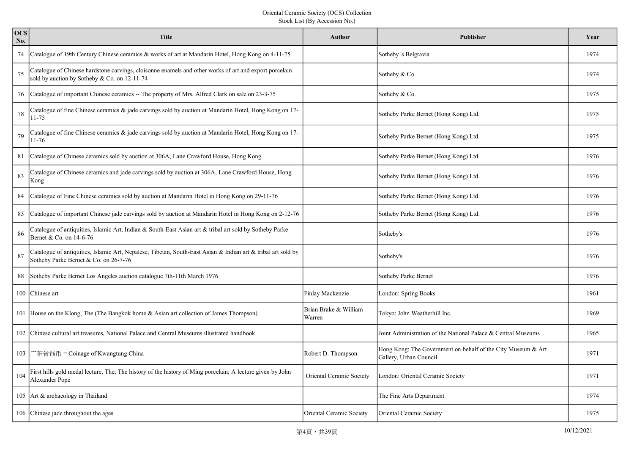| <b>OCS</b><br>No. | <b>Title</b>                                                                                                                                           | Author                          | <b>Publisher</b>                                                                       | Year |
|-------------------|--------------------------------------------------------------------------------------------------------------------------------------------------------|---------------------------------|----------------------------------------------------------------------------------------|------|
| 74                | Catalogue of 19th Century Chinese ceramics & works of art at Mandarin Hotel, Hong Kong on 4-11-75                                                      |                                 | Sotheby 's Belgravia                                                                   | 1974 |
| 75                | Catalogue of Chinese hardstone carvings, cloisonne enamels and other works of art and export porcelain<br>sold by auction by Sotheby & Co. on 12-11-74 |                                 | Sotheby & Co.                                                                          | 1974 |
| 76                | Catalogue of important Chinese ceramics -- The property of Mrs. Alfred Clark on sale on 23-3-75                                                        |                                 | Sotheby & Co.                                                                          | 1975 |
| 78                | Catalogue of fine Chinese ceramics & jade carvings sold by auction at Mandarin Hotel, Hong Kong on 17-<br>11-75                                        |                                 | Sotheby Parke Bernet (Hong Kong) Ltd.                                                  | 1975 |
| 79                | Catalogue of fine Chinese ceramics $\&$ jade carvings sold by auction at Mandarin Hotel, Hong Kong on 17-<br>11-76                                     |                                 | Sotheby Parke Bernet (Hong Kong) Ltd.                                                  | 1975 |
| 81                | Catalogue of Chinese ceramics sold by auction at 306A, Lane Crawford House, Hong Kong                                                                  |                                 | Sotheby Parke Bernet (Hong Kong) Ltd.                                                  | 1976 |
| 83                | Catalogue of Chinese ceramics and jade carvings sold by auction at 306A, Lane Crawford House, Hong<br>Kong                                             |                                 | Sotheby Parke Bernet (Hong Kong) Ltd.                                                  | 1976 |
| 84                | Catalogue of Fine Chinese ceramics sold by auction at Mandarin Hotel in Hong Kong on 29-11-76                                                          |                                 | Sotheby Parke Bernet (Hong Kong) Ltd.                                                  | 1976 |
| 85                | Catalogue of important Chinese jade carvings sold by auction at Mandarin Hotel in Hong Kong on 2-12-76                                                 |                                 | Sotheby Parke Bernet (Hong Kong) Ltd.                                                  | 1976 |
| 86                | Catalogue of antiquities, Islamic Art, Indian & South-East Asian art & tribal art sold by Sotheby Parke<br>Bernet & Co. on 14-6-76                     |                                 | Sotheby's                                                                              | 1976 |
| 87                | Catalogue of antiquities, Islamic Art, Nepalese, Tibetan, South-East Asian & Indian art & tribal art sold by<br>Sotheby Parke Bernet & Co. on 26-7-76  |                                 | Sotheby's                                                                              | 1976 |
| 88                | Sotheby Parke Bernet Los Angeles auction catalogue 7th-11th March 1976                                                                                 |                                 | Sotheby Parke Bernet                                                                   | 1976 |
|                   | 100 Chinese art                                                                                                                                        | Finlay Mackenzie                | London: Spring Books                                                                   | 1961 |
|                   | 101 House on the Klong, The (The Bangkok home & Asian art collection of James Thompson)                                                                | Brian Brake & William<br>Warren | Tokyo: John Weatherhill Inc.                                                           | 1969 |
|                   | 102 Chinese cultural art treasures, National Palace and Central Museums illustrated handbook                                                           |                                 | Joint Administration of the National Palace & Central Museums                          | 1965 |
| 103               | 广东省钱币 = Coinage of Kwangtung China                                                                                                                     | Robert D. Thompson              | Hong Kong: The Government on behalf of the City Museum & Art<br>Gallery, Urban Council | 1971 |
| 104               | First hills gold medal lecture, The; The history of the history of Ming porcelain; A lecture given by John<br>Alexander Pope                           | Oriental Ceramic Society        | London: Oriental Ceramic Society                                                       | 1971 |
|                   | 105   Art & archaeology in Thailand                                                                                                                    |                                 | The Fine Arts Department                                                               | 1974 |
|                   | 106 Chinese jade throughout the ages                                                                                                                   | Oriental Ceramic Society        | Oriental Ceramic Society                                                               | 1975 |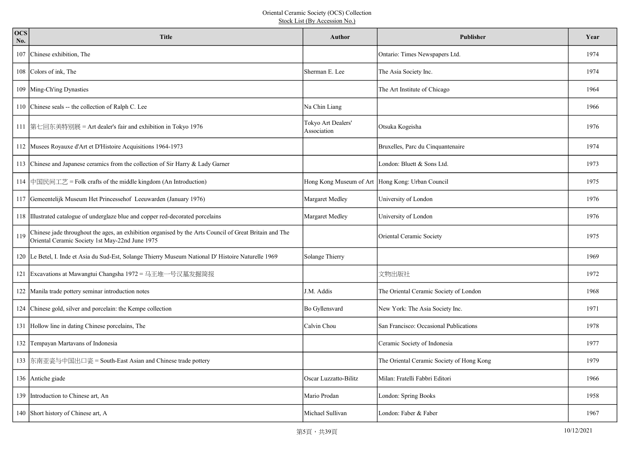| <b>OCS</b><br>No. | <b>Title</b>                                                                                                                                              | <b>Author</b>                                    | <b>Publisher</b>                          | Year |
|-------------------|-----------------------------------------------------------------------------------------------------------------------------------------------------------|--------------------------------------------------|-------------------------------------------|------|
|                   | 107 Chinese exhibition, The                                                                                                                               |                                                  | Ontario: Times Newspapers Ltd.            | 1974 |
|                   | 108 Colors of ink, The                                                                                                                                    | Sherman E. Lee                                   | The Asia Society Inc.                     | 1974 |
|                   | 109 Ming-Ch'ing Dynasties                                                                                                                                 |                                                  | The Art Institute of Chicago              | 1964 |
|                   | 110 Chinese seals -- the collection of Ralph C. Lee                                                                                                       | Na Chin Liang                                    |                                           | 1966 |
|                   | 111  第七回东美特别展 = Art dealer's fair and exhibition in Tokyo 1976                                                                                            | Tokyo Art Dealers'<br>Association                | Otsuka Kogeisha                           | 1976 |
|                   | 112 Musees Royauxe d'Art et D'Histoire Acquisitions 1964-1973                                                                                             |                                                  | Bruxelles, Parc du Cinquantenaire         | 1974 |
|                   | 113 Chinese and Japanese ceramics from the collection of Sir Harry & Lady Garner                                                                          |                                                  | London: Bluett & Sons Ltd.                | 1973 |
|                   | 114 中国民间工艺 = Folk crafts of the middle kingdom (An Introduction)                                                                                          | Hong Kong Museum of Art Hong Kong: Urban Council |                                           | 1975 |
|                   | 117 Gemeentelijk Museum Het Princessehof Leeuwarden (January 1976)                                                                                        | Margaret Medley                                  | University of London                      | 1976 |
|                   | 118 Illustrated catalogue of underglaze blue and copper red-decorated porcelains                                                                          | Margaret Medley                                  | University of London                      | 1976 |
| 119               | Chinese jade throughout the ages, an exhibition organised by the Arts Council of Great Britain and The<br>Oriental Ceramic Society 1st May-22nd June 1975 |                                                  | Oriental Ceramic Society                  | 1975 |
|                   | 120 Le Betel, I. Inde et Asia du Sud-Est, Solange Thierry Museum National D' Histoire Naturelle 1969                                                      | Solange Thierry                                  |                                           | 1969 |
|                   | 121 Excavations at Mawangtui Changsha 1972 = 马王堆一号汉墓发掘简报                                                                                                  |                                                  | 文物出版社                                     | 1972 |
|                   | 122 Manila trade pottery seminar introduction notes                                                                                                       | J.M. Addis                                       | The Oriental Ceramic Society of London    | 1968 |
|                   | 124 Chinese gold, silver and porcelain: the Kempe collection                                                                                              | Bo Gyllensvard                                   | New York: The Asia Society Inc.           | 1971 |
|                   | 131 Hollow line in dating Chinese porcelains, The                                                                                                         | Calvin Chou                                      | San Francisco: Occasional Publications    | 1978 |
|                   | 132 Tempayan Martavans of Indonesia                                                                                                                       |                                                  | Ceramic Society of Indonesia              | 1977 |
|                   | 133 东南亚瓷与中国出口瓷 = South-East Asian and Chinese trade pottery                                                                                               |                                                  | The Oriental Ceramic Society of Hong Kong | 1979 |
|                   | 136 Antiche giade                                                                                                                                         | Oscar Luzzatto-Bilitz                            | Milan: Fratelli Fabbri Editori            | 1966 |
|                   | 139 Introduction to Chinese art, An                                                                                                                       | Mario Prodan                                     | London: Spring Books                      | 1958 |
|                   | 140 Short history of Chinese art, A                                                                                                                       | Michael Sullivan                                 | London: Faber & Faber                     | 1967 |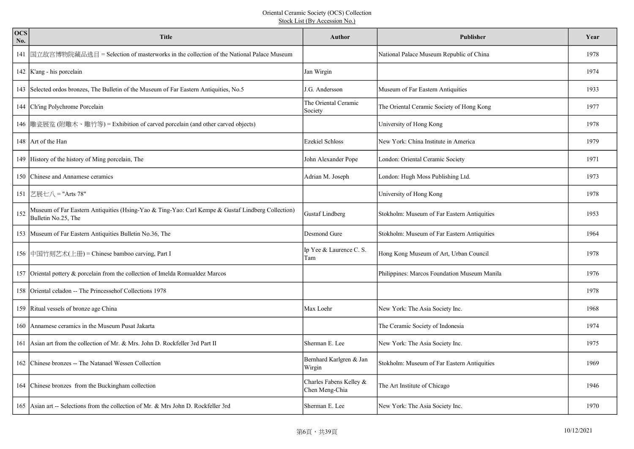| <b>OCS</b><br>No. | <b>Title</b>                                                                                                             | Author                                    | Publisher                                    | Year |
|-------------------|--------------------------------------------------------------------------------------------------------------------------|-------------------------------------------|----------------------------------------------|------|
| 141               | 国立故宫博物院藏品选目 = Selection of masterworks in the collection of the National Palace Museum                                   |                                           | National Palace Museum Republic of China     | 1978 |
|                   | 142   K'ang - his porcelain                                                                                              | Jan Wirgin                                |                                              | 1974 |
|                   | 143 Selected ordos bronzes, The Bulletin of the Museum of Far Eastern Antiquities, No.5                                  | J.G. Andersson                            | Museum of Far Eastern Antiquities            | 1933 |
|                   | 144 Ch'ing Polychrome Porcelain                                                                                          | The Oriental Ceramic<br>Society           | The Oriental Ceramic Society of Hong Kong    | 1977 |
|                   | 146 雕瓷展览 (附雕木、雕竹等) = Exhibition of carved porcelain (and other carved objects)                                           |                                           | University of Hong Kong                      | 1978 |
|                   | 148 Art of the Han                                                                                                       | <b>Ezekiel Schloss</b>                    | New York: China Institute in America         | 1979 |
|                   | 149 History of the history of Ming porcelain, The                                                                        | John Alexander Pope                       | London: Oriental Ceramic Society             | 1971 |
|                   | 150 Chinese and Annamese ceramics                                                                                        | Adrian M. Joseph                          | London: Hugh Moss Publishing Ltd.            | 1973 |
|                   | 151 艺展七八 = "Arts 78"                                                                                                     |                                           | University of Hong Kong                      | 1978 |
| 152               | Museum of Far Eastern Antiquities (Hsing-Yao & Ting-Yao: Carl Kempe & Gustaf Lindberg Collection)<br>Bulletin No.25, The | <b>Gustaf Lindberg</b>                    | Stokholm: Museum of Far Eastern Antiquities  | 1953 |
|                   | 153 Museum of Far Eastern Antiquities Bulletin No.36, The                                                                | Desmond Gure                              | Stokholm: Museum of Far Eastern Antiquities  | 1964 |
|                   | 156 中国竹刻艺术(上册) = Chinese bamboo carving, Part I                                                                          | Ip Yee & Laurence C. S.<br>Tam            | Hong Kong Museum of Art, Urban Council       | 1978 |
|                   | 157 Oriental pottery & porcelain from the collection of Imelda Romualdez Marcos                                          |                                           | Philippines: Marcos Foundation Museum Manila | 1976 |
|                   | 158 Oriental celadon -- The Princessehof Collections 1978                                                                |                                           |                                              | 1978 |
|                   | 159 Ritual vessels of bronze age China                                                                                   | Max Loehr                                 | New York: The Asia Society Inc.              | 1968 |
|                   | 160 Annamese ceramics in the Museum Pusat Jakarta                                                                        |                                           | The Ceramic Society of Indonesia             | 1974 |
|                   | 161 Asian art from the collection of Mr. & Mrs. John D. Rockfeller 3rd Part II                                           | Sherman E. Lee                            | New York: The Asia Society Inc.              | 1975 |
|                   | 162 Chinese bronzes -- The Natanael Wessen Collection                                                                    | Bernhard Karlgren & Jan<br>Wirgin         | Stokholm: Museum of Far Eastern Antiquities  | 1969 |
|                   | 164 Chinese bronzes from the Buckingham collection                                                                       | Charles Fabens Kelley &<br>Chen Meng-Chia | The Art Institute of Chicago                 | 1946 |
|                   | 165 Asian art -- Selections from the collection of Mr. & Mrs John D. Rockfeller 3rd                                      | Sherman E. Lee                            | New York: The Asia Society Inc.              | 1970 |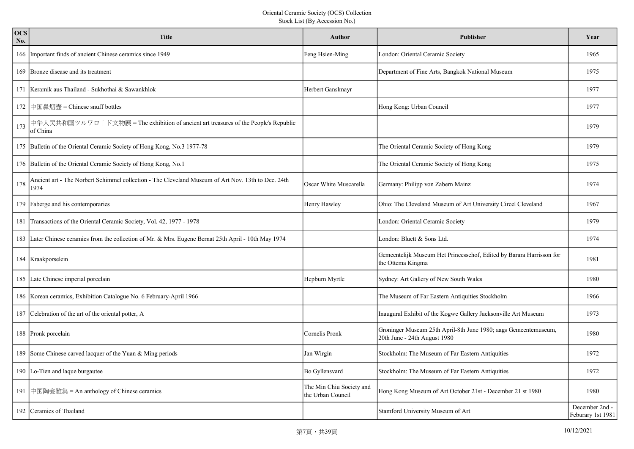| <b>OCS</b><br>No. | <b>Title</b>                                                                                               | <b>Author</b>                                 | Publisher                                                                                       | Year                                |
|-------------------|------------------------------------------------------------------------------------------------------------|-----------------------------------------------|-------------------------------------------------------------------------------------------------|-------------------------------------|
|                   | 166 Important finds of ancient Chinese ceramics since 1949                                                 | Feng Hsien-Ming                               | London: Oriental Ceramic Society                                                                | 1965                                |
|                   | 169 Bronze disease and its treatment                                                                       |                                               | Department of Fine Arts, Bangkok National Museum                                                | 1975                                |
|                   | 171 Keramik aus Thailand - Sukhothai & Sawankhlok                                                          | Herbert Ganslmayr                             |                                                                                                 | 1977                                |
|                   | 172 中国鼻烟壶 = Chinese snuff bottles                                                                          |                                               | Hong Kong: Urban Council                                                                        | 1977                                |
| 173               | 中华人民共和国ツルワロ   ド文物展 = The exhibition of ancient art treasures of the People's Republic<br>of China          |                                               |                                                                                                 | 1979                                |
|                   | 175 Bulletin of the Oriental Ceramic Society of Hong Kong, No.3 1977-78                                    |                                               | The Oriental Ceramic Society of Hong Kong                                                       | 1979                                |
|                   | 176 Bulletin of the Oriental Ceramic Society of Hong Kong, No.1                                            |                                               | The Oriental Ceramic Society of Hong Kong                                                       | 1975                                |
| 178               | Ancient art - The Norbert Schimmel collection - The Cleveland Museum of Art Nov. 13th to Dec. 24th<br>1974 | Oscar White Muscarella                        | Germany: Philipp von Zabern Mainz                                                               | 1974                                |
|                   | 179 Faberge and his contemporaries                                                                         | Henry Hawley                                  | Ohio: The Cleveland Museum of Art University Circel Cleveland                                   | 1967                                |
|                   | 181 Transactions of the Oriental Ceramic Society, Vol. 42, 1977 - 1978                                     |                                               | London: Oriental Ceramic Society                                                                | 1979                                |
|                   | 183 Later Chinese ceramics from the collection of Mr. & Mrs. Eugene Bernat 25th April - 10th May 1974      |                                               | London: Bluett & Sons Ltd.                                                                      | 1974                                |
|                   | 184   Kraakporselein                                                                                       |                                               | Gemeentelijk Museum Het Princessehof, Edited by Barara Harrisson for<br>the Ottema Kingma       | 1981                                |
|                   | 185 Late Chinese imperial porcelain                                                                        | Hepburn Myrtle                                | Sydney: Art Gallery of New South Wales                                                          | 1980                                |
|                   | 186 Korean ceramics, Exhibition Catalogue No. 6 February-April 1966                                        |                                               | The Museum of Far Eastern Antiquities Stockholm                                                 | 1966                                |
|                   | 187 Celebration of the art of the oriental potter, A                                                       |                                               | Inaugural Exhibit of the Kogwe Gallery Jacksonville Art Museum                                  | 1973                                |
|                   | 188 Pronk porcelain                                                                                        | Cornelis Pronk                                | Groninger Museum 25th April-8th June 1980; aags Gemeentemuseum,<br>20th June - 24th August 1980 | 1980                                |
|                   | 189 Some Chinese carved lacquer of the Yuan & Ming periods                                                 | Jan Wirgin                                    | Stockholm: The Museum of Far Eastern Antiquities                                                | 1972                                |
|                   | 190 Lo-Tien and laque burgautee                                                                            | Bo Gyllensvard                                | Stockholm: The Museum of Far Eastern Antiquities                                                | 1972                                |
|                   | 191 中国陶瓷雅集 = An anthology of Chinese ceramics                                                              | The Min Chiu Society and<br>the Urban Council | Hong Kong Museum of Art October 21st - December 21 st 1980                                      | 1980                                |
|                   | 192 Ceramics of Thailand                                                                                   |                                               | Stamford University Museum of Art                                                               | December 2nd -<br>Feburary 1st 1981 |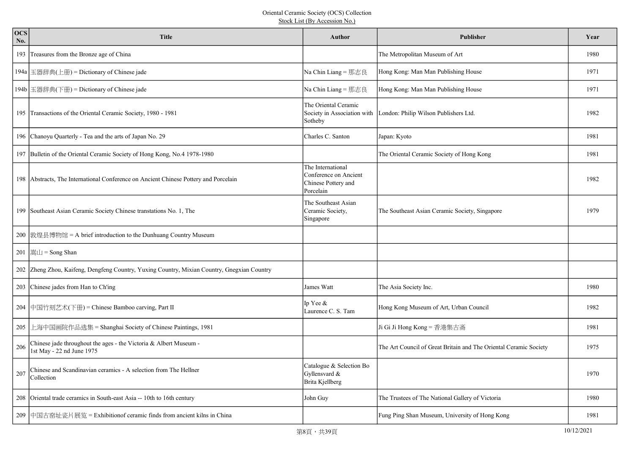| <b>OCS</b><br>No. | <b>Title</b>                                                                                   | Author                                                                         | <b>Publisher</b>                                                  | Year |
|-------------------|------------------------------------------------------------------------------------------------|--------------------------------------------------------------------------------|-------------------------------------------------------------------|------|
|                   | 193 Treasures from the Bronze age of China                                                     |                                                                                | The Metropolitan Museum of Art                                    | 1980 |
|                   | 194a  玉器辞典(上冊) = Dictionary of Chinese jade                                                    | Na Chin Liang = 那志良                                                            | Hong Kong: Man Man Publishing House                               | 1971 |
|                   | 194b   玉器辞典(下册) = Dictionary of Chinese jade                                                   | Na Chin Liang = 那志良                                                            | Hong Kong: Man Man Publishing House                               | 1971 |
|                   | 195 Transactions of the Oriental Ceramic Society, 1980 - 1981                                  | The Oriental Ceramic<br>Society in Association with<br>Sotheby                 | London: Philip Wilson Publishers Ltd.                             | 1982 |
|                   | 196 Chanoyu Quarterly - Tea and the arts of Japan No. 29                                       | Charles C. Santon                                                              | Japan: Kyoto                                                      | 1981 |
|                   | 197 Bulletin of the Oriental Ceramic Society of Hong Kong, No.4 1978-1980                      |                                                                                | The Oriental Ceramic Society of Hong Kong                         | 1981 |
|                   | 198 Abstracts, The International Conference on Ancient Chinese Pottery and Porcelain           | The International<br>Conference on Ancient<br>Chinese Pottery and<br>Porcelain |                                                                   | 1982 |
|                   | 199 Southeast Asian Ceramic Society Chinese transtations No. 1, The                            | The Southeast Asian<br>Ceramic Society,<br>Singapore                           | The Southeast Asian Ceramic Society, Singapore                    | 1979 |
|                   | 200 敦煌县博物馆 = A brief introduction to the Dunhuang Country Museum                               |                                                                                |                                                                   |      |
|                   | $201$ $ \nexists L$ = Song Shan                                                                |                                                                                |                                                                   |      |
|                   | 202 Zheng Zhou, Kaifeng, Dengfeng Country, Yuxing Country, Mixian Country, Gnegxian Country    |                                                                                |                                                                   |      |
|                   | 203 Chinese jades from Han to Ch'ing                                                           | James Watt                                                                     | The Asia Society Inc.                                             | 1980 |
|                   | 204 中国竹刻艺术(下册) = Chinese Bamboo carving, Part II                                               | Ip Yee &<br>Laurence C. S. Tam                                                 | Hong Kong Museum of Art, Urban Council                            | 1982 |
| 205               | 上海中国画院作品选集 = Shanghai Society of Chinese Paintings, 1981                                       |                                                                                | Ji Gi Ji Hong Kong = 香港集古斋                                        | 1981 |
| 206               | Chinese jade throughout the ages - the Victoria & Albert Museum -<br>1st May - 22 nd June 1975 |                                                                                | The Art Council of Great Britain and The Oriental Ceramic Society | 1975 |
| 207               | Chinese and Scandinavian ceramics - A selection from The Hellner<br>Collection                 | Catalogue & Selection Bo<br>Gyllensvard &<br>Brita Kjellberg                   |                                                                   | 1970 |
|                   | 208 Oriental trade ceramics in South-east Asia -- 10th to 16th century                         | John Guy                                                                       | The Trustees of The National Gallery of Victoria                  | 1980 |
|                   | 209 中国古窑址瓷片展览 = Exhibitionof ceramic finds from ancient kilns in China                         |                                                                                | Fung Ping Shan Museum, University of Hong Kong                    | 1981 |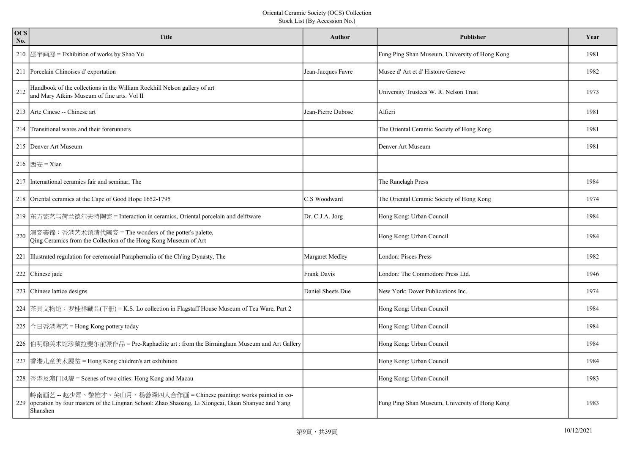| <b>OCS</b><br>No. | <b>Title</b>                                                                                                                                                                           | Author             | <b>Publisher</b>                               | Year |
|-------------------|----------------------------------------------------------------------------------------------------------------------------------------------------------------------------------------|--------------------|------------------------------------------------|------|
|                   | 210 邵宇画展 = Exhibition of works by Shao Yu                                                                                                                                              |                    | Fung Ping Shan Museum, University of Hong Kong | 1981 |
|                   | 211 Porcelain Chinoises d'exportation                                                                                                                                                  | Jean-Jacques Favre | Musee d'Art et d'Histoire Geneve               | 1982 |
| 212               | Handbook of the collections in the William Rockhill Nelson gallery of art<br>and Mary Atkins Museum of fine arts. Vol II                                                               |                    | University Trustees W. R. Nelson Trust         | 1973 |
|                   | 213 Arte Cinese -- Chinese art                                                                                                                                                         | Jean-Pierre Dubose | Alfieri                                        | 1981 |
|                   | 214 Transitional wares and their forerunners                                                                                                                                           |                    | The Oriental Ceramic Society of Hong Kong      | 1981 |
|                   | 215 Denver Art Museum                                                                                                                                                                  |                    | Denver Art Museum                              | 1981 |
|                   | $216$  西安 = Xian                                                                                                                                                                       |                    |                                                |      |
|                   | 217 International ceramics fair and seminar, The                                                                                                                                       |                    | The Ranelagh Press                             | 1984 |
|                   | 218 Oriental ceramics at the Cape of Good Hope 1652-1795                                                                                                                               | C.S Woodward       | The Oriental Ceramic Society of Hong Kong      | 1974 |
|                   | 219 东方瓷艺与荷兰德尔夫特陶瓷 = Interaction in ceramics, Oriental porcelain and delftware                                                                                                          | Dr. C.J.A. Jorg    | Hong Kong: Urban Council                       | 1984 |
| 220               | 清瓷荟锦:香港艺术馆清代陶瓷 = The wonders of the potter's palette,<br>Qing Ceramics from the Collection of the Hong Kong Museum of Art                                                              |                    | Hong Kong: Urban Council                       | 1984 |
|                   | 221 Illustrated regulation for ceremonial Paraphernalia of the Ch'ing Dynasty, The                                                                                                     | Margaret Medley    | London: Pisces Press                           | 1982 |
|                   | 222 Chinese jade                                                                                                                                                                       | Frank Davis        | London: The Commodore Press Ltd.               | 1946 |
|                   | 223 Chinese lattice designs                                                                                                                                                            | Daniel Sheets Due  | New York: Dover Publications Inc.              | 1974 |
|                   | 224 茶具文物馆:罗桂祥藏品(下册) = K.S. Lo collection in Flagstaff House Museum of Tea Ware, Part 2                                                                                                 |                    | Hong Kong: Urban Council                       | 1984 |
| 225               | 今日香港陶艺 = Hong Kong pottery today                                                                                                                                                       |                    | Hong Kong: Urban Council                       | 1984 |
|                   | 226 伯明翰美术馆珍藏拉斐尔前派作品 = Pre-Raphaelite art : from the Birmingham Museum and Art Gallery                                                                                                  |                    | Hong Kong: Urban Council                       | 1984 |
|                   | 227 香港儿童美术展览 = Hong Kong children's art exhibition                                                                                                                                     |                    | Hong Kong: Urban Council                       | 1984 |
|                   | 228 香港及澳门风貌 = Scenes of two cities: Hong Kong and Macau                                                                                                                                |                    | Hong Kong: Urban Council                       | 1983 |
| 229               | 岭南画艺 -- 赵少昂、黎雄才、关山月、杨善深四人合作画 = Chinese painting: works painted in co-<br>operation by four masters of the Lingnan School: Zhao Shaoang, Li Xiongcai, Guan Shanyue and Yang<br>Shanshen |                    | Fung Ping Shan Museum, University of Hong Kong | 1983 |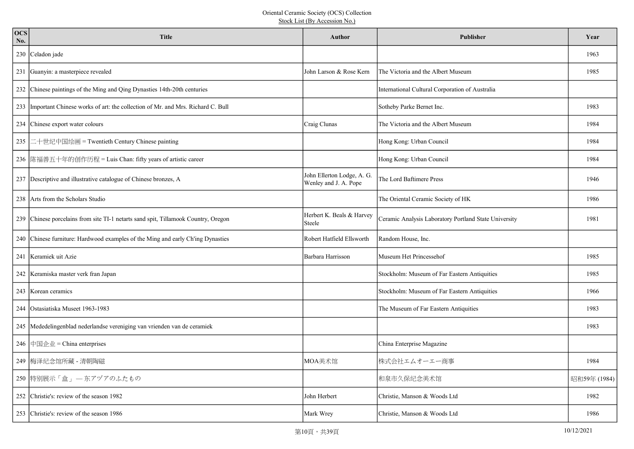| <b>OCS</b><br>No. | <b>Title</b>                                                                         | Author                                              | <b>Publisher</b>                                      | Year         |
|-------------------|--------------------------------------------------------------------------------------|-----------------------------------------------------|-------------------------------------------------------|--------------|
|                   | 230 Celadon jade                                                                     |                                                     |                                                       | 1963         |
|                   | 231 Guanyin: a masterpiece revealed                                                  | John Larson & Rose Kern                             | The Victoria and the Albert Museum                    | 1985         |
|                   | 232 Chinese paintings of the Ming and Qing Dynasties 14th-20th centuries             |                                                     | International Cultural Corporation of Australia       |              |
|                   | 233   Important Chinese works of art: the collection of Mr. and Mrs. Richard C. Bull |                                                     | Sotheby Parke Bernet Inc.                             | 1983         |
|                   | 234 Chinese export water colours                                                     | Craig Clunas                                        | The Victoria and the Albert Museum                    | 1984         |
| 235               | 二十世纪中国绘画 = Twentieth Century Chinese painting                                        |                                                     | Hong Kong: Urban Council                              | 1984         |
|                   | 236   陈福善五十年的创作历程 = Luis Chan: fifty years of artistic career                        |                                                     | Hong Kong: Urban Council                              | 1984         |
|                   | 237 Descriptive and illustrative catalogue of Chinese bronzes, A                     | John Ellerton Lodge, A. G.<br>Wenley and J. A. Pope | The Lord Baftimere Press                              | 1946         |
|                   | 238   Arts from the Scholars Studio                                                  |                                                     | The Oriental Ceramic Society of HK                    | 1986         |
|                   | 239 Chinese porcelains from site TI-1 netarts sand spit, Tillamook Country, Oregon   | Herbert K. Beals & Harvey<br>Steele                 | Ceramic Analysis Laboratory Portland State University | 1981         |
|                   | 240 Chinese furniture: Hardwood examples of the Ming and early Ch'ing Dynasties      | Robert Hatfield Ellsworth                           | Random House, Inc.                                    |              |
|                   | 241   Keramiek uit Azie                                                              | Barbara Harrisson                                   | Museum Het Princessehof                               | 1985         |
|                   | 242 Keramiska master verk fran Japan                                                 |                                                     | Stockholm: Museum of Far Eastern Antiquities          | 1985         |
|                   | 243 Korean ceramics                                                                  |                                                     | Stockholm: Museum of Far Eastern Antiquities          | 1966         |
|                   | 244 Ostasiatiska Museet 1963-1983                                                    |                                                     | The Museum of Far Eastern Antiquities                 | 1983         |
|                   | 245  Mededelingenblad nederlandse vereniging van vrienden van de ceramiek            |                                                     |                                                       | 1983         |
|                   | 246 中国企业 = China enterprises                                                         |                                                     | China Enterprise Magazine                             |              |
|                   | 249 梅泽纪念馆所藏 - 清朝陶磁                                                                   | MOA美术馆                                              | 株式会社エムオーエー商事                                          | 1984         |
|                   | 250 特别展示「盒」 一东アヅアのふたもの                                                               |                                                     | 和泉市久保纪念美术馆                                            | 昭和59年 (1984) |
|                   | 252 Christie's: review of the season 1982                                            | John Herbert                                        | Christie, Manson & Woods Ltd                          | 1982         |
|                   | 253 Christie's: review of the season 1986                                            | Mark Wrey                                           | Christie, Manson & Woods Ltd                          | 1986         |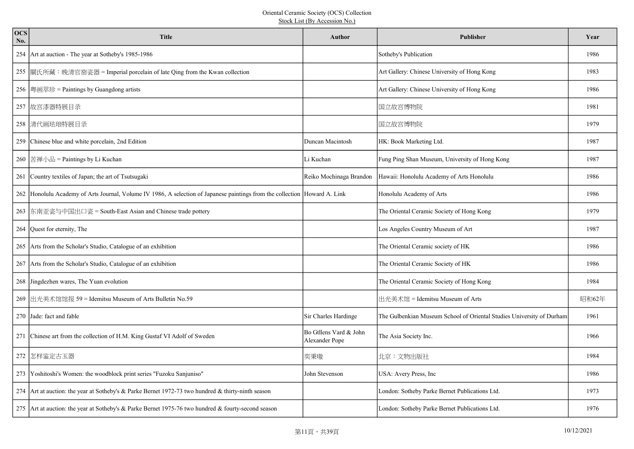| <b>OCS</b><br>No. | <b>Title</b>                                                                                                               | <b>Author</b>                            | <b>Publisher</b>                                                      | Year  |
|-------------------|----------------------------------------------------------------------------------------------------------------------------|------------------------------------------|-----------------------------------------------------------------------|-------|
|                   | 254 Art at auction - The year at Sotheby's 1985-1986                                                                       |                                          | Sotheby's Publication                                                 | 1986  |
|                   | 255  關氏所藏:晚清官窑瓷器 = Imperial porcelain of late Qing from the Kwan collection                                                |                                          | Art Gallery: Chinese University of Hong Kong                          | 1983  |
|                   | 256  粵画萃珍 = Paintings by Guangdong artists                                                                                 |                                          | Art Gallery: Chinese University of Hong Kong                          | 1986  |
|                   | 257 故宫漆器特展目录                                                                                                               |                                          | 国立故宫博物院                                                               | 1981  |
|                   | 258 清代画珐琅特展目录                                                                                                              |                                          | 国立故宫博物院                                                               | 1979  |
|                   | 259 Chinese blue and white porcelain, 2nd Edition                                                                          | Duncan Macintosh                         | HK: Book Marketing Ltd.                                               | 1987  |
|                   | 260 苦禅小品 = Paintings by Li Kuchan                                                                                          | Li Kuchan                                | Fung Ping Shan Museum, University of Hong Kong                        | 1987  |
|                   | 261 Country textiles of Japan; the art of Tsutsugaki                                                                       | Reiko Mochinaga Brandon                  | Hawaii: Honolulu Academy of Arts Honolulu                             | 1986  |
|                   | 262 Honolulu Academy of Arts Journal, Volume IV 1986, A selection of Japanese paintings from the collection Howard A. Link |                                          | Honolulu Academy of Arts                                              | 1986  |
|                   | 263   东南亚瓷与中国出口瓷 = South-East Asian and Chinese trade pottery                                                              |                                          | The Oriental Ceramic Society of Hong Kong                             | 1979  |
|                   | 264 Quest for eternity, The                                                                                                |                                          | Los Angeles Country Museum of Art                                     | 1987  |
|                   | 265 Arts from the Scholar's Studio, Catalogue of an exhibition                                                             |                                          | The Oriental Ceramic society of HK                                    | 1986  |
|                   | 267 Arts from the Scholar's Studio, Catalogue of an exhibition                                                             |                                          | The Oriental Ceramic Society of HK                                    | 1986  |
|                   | 268 Jingdezhen wares, The Yuan evolution                                                                                   |                                          | The Oriental Ceramic Society of Hong Kong                             | 1984  |
|                   | 269  出光美术馆馆报 59 = Idemitsu Museum of Arts Bulletin No.59                                                                   |                                          | 出光美术馆 = Idemitsu Museum of Arts                                       | 昭和62年 |
|                   | 270 Jade: fact and fable                                                                                                   | Sir Charles Hardinge                     | The Gulbenkian Museum School of Oriental Studies University of Durham | 1961  |
|                   | 271 Chinese art from the collection of H.M. King Gustaf VI Adolf of Sweden                                                 | Bo Gtllens Vard & John<br>Alexander Pope | The Asia Society Inc.                                                 | 1966  |
|                   | 272 怎样鉴定古玉器                                                                                                                | 奕秉璈                                      | 北京:文物出版社                                                              | 1984  |
|                   | 273 Yoshitoshi's Women: the woodblock print series "Fuzoku Sanjuniso"                                                      | John Stevenson                           | USA: Avery Press, Inc                                                 | 1986  |
|                   | 274 Art at auction: the year at Sotheby's & Parke Bernet 1972-73 two hundred & thirty-ninth season                         |                                          | London: Sotheby Parke Bernet Publications Ltd.                        | 1973  |
|                   | 275 Art at auction: the year at Sotheby's & Parke Bernet 1975-76 two hundred & fourty-second season                        |                                          | London: Sotheby Parke Bernet Publications Ltd.                        | 1976  |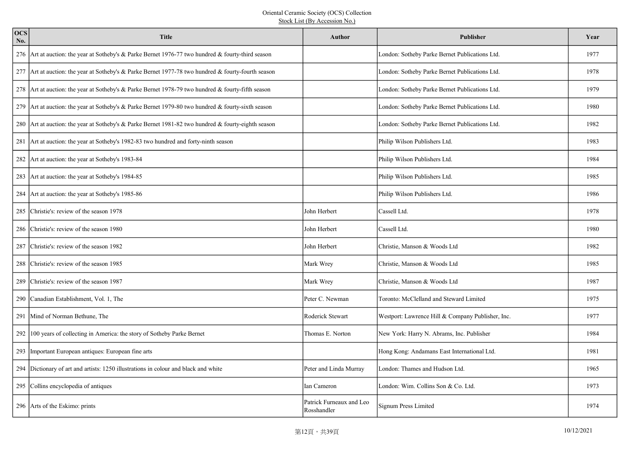| <b>OCS</b><br>No. | <b>Title</b>                                                                                        | Author                                  | <b>Publisher</b>                                  | Year |
|-------------------|-----------------------------------------------------------------------------------------------------|-----------------------------------------|---------------------------------------------------|------|
|                   | 276 Art at auction: the year at Sotheby's & Parke Bernet 1976-77 two hundred & fourty-third season  |                                         | London: Sotheby Parke Bernet Publications Ltd.    | 1977 |
|                   | 277 Art at auction: the year at Sotheby's & Parke Bernet 1977-78 two hundred & fourty-fourth season |                                         | London: Sotheby Parke Bernet Publications Ltd.    | 1978 |
|                   | 278 Art at auction: the year at Sotheby's & Parke Bernet 1978-79 two hundred & fourty-fifth season  |                                         | London: Sotheby Parke Bernet Publications Ltd.    | 1979 |
|                   | 279 Art at auction: the year at Sotheby's & Parke Bernet 1979-80 two hundred & fourty-sixth season  |                                         | London: Sotheby Parke Bernet Publications Ltd.    | 1980 |
|                   | 280 Art at auction: the year at Sotheby's & Parke Bernet 1981-82 two hundred & fourty-eighth season |                                         | London: Sotheby Parke Bernet Publications Ltd.    | 1982 |
|                   | 281 Art at auction: the year at Sotheby's 1982-83 two hundred and forty-ninth season                |                                         | Philip Wilson Publishers Ltd.                     | 1983 |
|                   | 282 Art at auction: the year at Sotheby's 1983-84                                                   |                                         | Philip Wilson Publishers Ltd.                     | 1984 |
|                   | 283 Art at auction: the year at Sotheby's 1984-85                                                   |                                         | Philip Wilson Publishers Ltd.                     | 1985 |
|                   | 284 Art at auction: the year at Sotheby's 1985-86                                                   |                                         | Philip Wilson Publishers Ltd.                     | 1986 |
|                   | 285 Christie's: review of the season 1978                                                           | John Herbert                            | Cassell Ltd.                                      | 1978 |
|                   | 286 Christie's: review of the season 1980                                                           | John Herbert                            | Cassell Ltd.                                      | 1980 |
| 287               | Christie's: review of the season 1982                                                               | John Herbert                            | Christie, Manson & Woods Ltd                      | 1982 |
| 288               | Christie's: review of the season 1985                                                               | Mark Wrey                               | Christie, Manson & Woods Ltd                      | 1985 |
|                   | 289 Christie's: review of the season 1987                                                           | Mark Wrey                               | Christie, Manson & Woods Ltd                      | 1987 |
|                   | 290 Canadian Establishment, Vol. 1, The                                                             | Peter C. Newman                         | Toronto: McClelland and Steward Limited           | 1975 |
|                   | 291 Mind of Norman Bethune, The                                                                     | Roderick Stewart                        | Westport: Lawrence Hill & Company Publisher, Inc. | 1977 |
|                   | 292 100 years of collecting in America: the story of Sotheby Parke Bernet                           | Thomas E. Norton                        | New York: Harry N. Abrams, Inc. Publisher         | 1984 |
|                   | 293 Important European antiques: European fine arts                                                 |                                         | Hong Kong: Andamans East International Ltd.       | 1981 |
|                   | 294 Dictionary of art and artists: 1250 illustrations in colour and black and white                 | Peter and Linda Murray                  | London: Thames and Hudson Ltd.                    | 1965 |
|                   | 295 Collins encyclopedia of antiques                                                                | Ian Cameron                             | London: Wim. Collins Son & Co. Ltd.               | 1973 |
|                   | 296 Arts of the Eskimo: prints                                                                      | Patrick Furneaux and Leo<br>Rosshandler | Signum Press Limited                              | 1974 |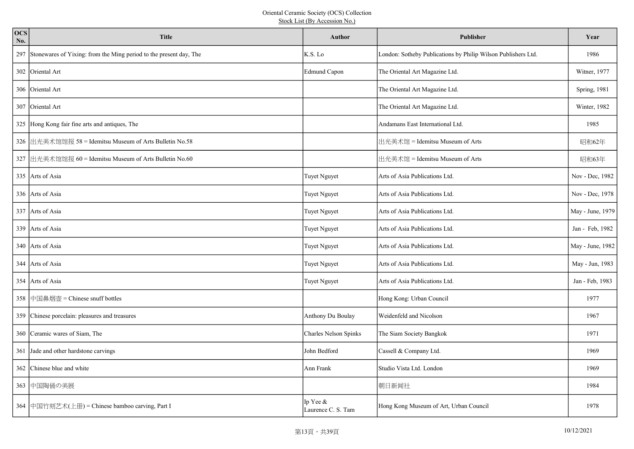| <b>OCS</b><br>No. | <b>Title</b>                                                           | <b>Author</b>                  | <b>Publisher</b>                                              | Year             |
|-------------------|------------------------------------------------------------------------|--------------------------------|---------------------------------------------------------------|------------------|
|                   | 297 Stonewares of Yixing: from the Ming period to the present day, The | K.S. Lo                        | London: Sotheby Publications by Philip Wilson Publishers Ltd. | 1986             |
|                   | 302 Oriental Art                                                       | <b>Edmund Capon</b>            | The Oriental Art Magazine Ltd.                                | Witner, 1977     |
|                   | 306 Oriental Art                                                       |                                | The Oriental Art Magazine Ltd.                                | Spring, 1981     |
|                   | 307 Oriental Art                                                       |                                | The Oriental Art Magazine Ltd.                                | Winter, 1982     |
|                   | 325 Hong Kong fair fine arts and antiques, The                         |                                | Andamans East International Ltd.                              | 1985             |
|                   | 326 出光美术馆馆报 58 = Idemitsu Museum of Arts Bulletin No.58                |                                | 出光美术馆 = Idemitsu Museum of Arts                               | 昭和62年            |
|                   | 327 出光美术馆馆报 60 = Idemitsu Museum of Arts Bulletin No.60                |                                | 出光美术馆 = Idemitsu Museum of Arts                               | 昭和63年            |
|                   | 335   Arts of Asia                                                     | <b>Tuyet Nguyet</b>            | Arts of Asia Publications Ltd.                                | Nov - Dec, 1982  |
|                   | 336 Arts of Asia                                                       | Tuyet Nguyet                   | Arts of Asia Publications Ltd.                                | Nov - Dec, 1978  |
|                   | 337 Arts of Asia                                                       | Tuyet Nguyet                   | Arts of Asia Publications Ltd.                                | May - June, 1979 |
|                   | 339 Arts of Asia                                                       | Tuyet Nguyet                   | Arts of Asia Publications Ltd.                                | Jan - Feb, 1982  |
|                   | 340 Arts of Asia                                                       | Tuyet Nguyet                   | Arts of Asia Publications Ltd.                                | May - June, 1982 |
|                   | 344 Arts of Asia                                                       | Tuyet Nguyet                   | Arts of Asia Publications Ltd.                                | May - Jun, 1983  |
|                   | 354 Arts of Asia                                                       | <b>Tuyet Nguyet</b>            | Arts of Asia Publications Ltd.                                | Jan - Feb, 1983  |
|                   | 358 中国鼻烟壶 = Chinese snuff bottles                                      |                                | Hong Kong: Urban Council                                      | 1977             |
|                   | 359 Chinese porcelain: pleasures and treasures                         | Anthony Du Boulay              | Weidenfeld and Nicolson                                       | 1967             |
|                   | 360 Ceramic wares of Siam, The                                         | Charles Nelson Spinks          | The Siam Society Bangkok                                      | 1971             |
|                   | 361 Jade and other hardstone carvings                                  | John Bedford                   | Cassell & Company Ltd.                                        | 1969             |
|                   | 362 Chinese blue and white                                             | Ann Frank                      | Studio Vista Ltd. London                                      | 1969             |
|                   | 363 中国陶俑の美展                                                            |                                | 朝日新闻社                                                         | 1984             |
|                   | 364 中国竹刻艺术(上册) = Chinese bamboo carving, Part I                        | Ip Yee &<br>Laurence C. S. Tam | Hong Kong Museum of Art, Urban Council                        | 1978             |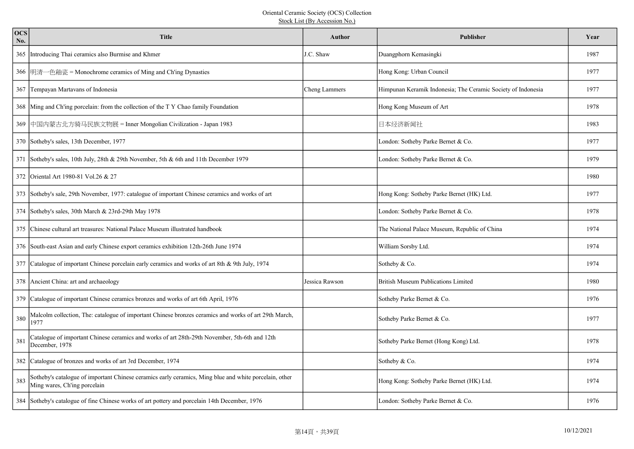| <b>OCS</b><br>No. | <b>Title</b>                                                                                                                           | <b>Author</b>  | <b>Publisher</b>                                             | Year |
|-------------------|----------------------------------------------------------------------------------------------------------------------------------------|----------------|--------------------------------------------------------------|------|
|                   | 365 Introducing Thai ceramics also Burmise and Khmer                                                                                   | J.C. Shaw      | Duangphorn Kemasingki                                        | 1987 |
|                   | 366  明清一色釉瓷 = Monochrome ceramics of Ming and Ch'ing Dynasties                                                                         |                | Hong Kong: Urban Council                                     | 1977 |
|                   | 367 Tempayan Martavans of Indonesia                                                                                                    | Cheng Lammers  | Himpunan Keramik Indonesia; The Ceramic Society of Indonesia | 1977 |
|                   | 368 Ming and Ch'ing porcelain: from the collection of the T Y Chao family Foundation                                                   |                | Hong Kong Museum of Art                                      | 1978 |
|                   | 369 中国内蒙古北方骑马民族文物展 = Inner Mongolian Civilization - Japan 1983                                                                         |                | 日本经济新闻社                                                      | 1983 |
|                   | 370 Sotheby's sales, 13th December, 1977                                                                                               |                | London: Sotheby Parke Bernet & Co.                           | 1977 |
|                   | 371 Sotheby's sales, 10th July, 28th & 29th November, 5th & 6th and 11th December 1979                                                 |                | London: Sotheby Parke Bernet & Co.                           | 1979 |
|                   | 372 Oriental Art 1980-81 Vol.26 & 27                                                                                                   |                |                                                              | 1980 |
|                   | 373 Sotheby's sale, 29th November, 1977: catalogue of important Chinese ceramics and works of art                                      |                | Hong Kong: Sotheby Parke Bernet (HK) Ltd.                    | 1977 |
|                   | 374 Sotheby's sales, 30th March & 23rd-29th May 1978                                                                                   |                | London: Sotheby Parke Bernet & Co.                           | 1978 |
|                   | 375 Chinese cultural art treasures: National Palace Museum illustrated handbook                                                        |                | The National Palace Museum, Republic of China                | 1974 |
|                   | 376 South-east Asian and early Chinese export ceramics exhibition 12th-26th June 1974                                                  |                | William Sorsby Ltd.                                          | 1974 |
|                   | 377 Catalogue of important Chinese porcelain early ceramics and works of art 8th & 9th July, 1974                                      |                | Sotheby & Co.                                                | 1974 |
|                   | 378 Ancient China: art and archaeology                                                                                                 | Jessica Rawson | <b>British Museum Publications Limited</b>                   | 1980 |
|                   | 379 Catalogue of important Chinese ceramics bronzes and works of art 6th April, 1976                                                   |                | Sotheby Parke Bernet & Co.                                   | 1976 |
| 380               | Malcolm collection, The: catalogue of important Chinese bronzes ceramics and works of art 29th March,<br>1977                          |                | Sotheby Parke Bernet & Co.                                   | 1977 |
| 381               | Catalogue of important Chinese ceramics and works of art 28th-29th November, 5th-6th and 12th<br>December, 1978                        |                | Sotheby Parke Bernet (Hong Kong) Ltd.                        | 1978 |
|                   | 382 Catalogue of bronzes and works of art 3rd December, 1974                                                                           |                | Sotheby & Co.                                                | 1974 |
| 383               | Sotheby's catalogue of important Chinese ceramics early ceramics, Ming blue and white porcelain, other<br>Ming wares, Ch'ing porcelain |                | Hong Kong: Sotheby Parke Bernet (HK) Ltd.                    | 1974 |
|                   | 384 Sotheby's catalogue of fine Chinese works of art pottery and porcelain 14th December, 1976                                         |                | London: Sotheby Parke Bernet & Co.                           | 1976 |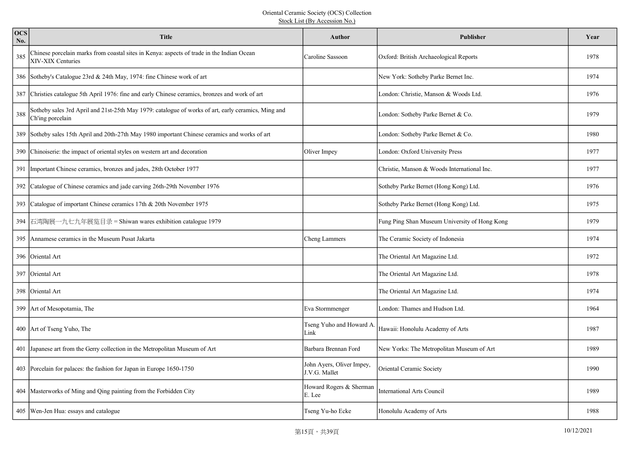| <b>OCS</b><br>No. | <b>Title</b>                                                                                                            | Author                                     | Publisher                                     | Year |
|-------------------|-------------------------------------------------------------------------------------------------------------------------|--------------------------------------------|-----------------------------------------------|------|
| 385               | Chinese porcelain marks from coastal sites in Kenya: aspects of trade in the Indian Ocean<br>XIV-XIX Centuries          | Caroline Sassoon                           | Oxford: British Archaeological Reports        | 1978 |
|                   | 386 Sotheby's Catalogue 23rd & 24th May, 1974: fine Chinese work of art                                                 |                                            | New York: Sotheby Parke Bernet Inc.           | 1974 |
|                   | 387 Christies catalogue 5th April 1976: fine and early Chinese ceramics, bronzes and work of art                        |                                            | London: Christie, Manson & Woods Ltd.         | 1976 |
| 388               | Sotheby sales 3rd April and 21st-25th May 1979: catalogue of works of art, early ceramics, Ming and<br>Ch'ing porcelain |                                            | London: Sotheby Parke Bernet & Co.            | 1979 |
|                   | 389 Sotheby sales 15th April and 20th-27th May 1980 important Chinese ceramics and works of art                         |                                            | London: Sotheby Parke Bernet & Co.            | 1980 |
|                   | 390 Chinoiserie: the impact of oriental styles on western art and decoration                                            | Oliver Impey                               | London: Oxford University Press               | 1977 |
|                   | 391 Important Chinese ceramics, bronzes and jades, 28th October 1977                                                    |                                            | Christie, Manson & Woods International Inc.   | 1977 |
|                   | 392 Catalogue of Chinese ceramics and jade carving 26th-29th November 1976                                              |                                            | Sotheby Parke Bernet (Hong Kong) Ltd.         | 1976 |
|                   | 393 Catalogue of important Chinese ceramics 17th & 20th November 1975                                                   |                                            | Sotheby Parke Bernet (Hong Kong) Ltd.         | 1975 |
|                   | 394  石湾陶展一九七九年展览目录 = Shiwan wares exhibition catalogue 1979                                                             |                                            | Fung Ping Shan Museum University of Hong Kong | 1979 |
|                   | 395 Annamese ceramics in the Museum Pusat Jakarta                                                                       | <b>Cheng Lammers</b>                       | The Ceramic Society of Indonesia              | 1974 |
|                   | 396 Oriental Art                                                                                                        |                                            | The Oriental Art Magazine Ltd.                | 1972 |
|                   | 397 Oriental Art                                                                                                        |                                            | The Oriental Art Magazine Ltd.                | 1978 |
|                   | 398 Oriental Art                                                                                                        |                                            | The Oriental Art Magazine Ltd.                | 1974 |
|                   | 399 Art of Mesopotamia, The                                                                                             | Eva Stormmenger                            | London: Thames and Hudson Ltd.                | 1964 |
|                   | 400 Art of Tseng Yuho, The                                                                                              | Tseng Yuho and Howard A.<br>Link           | Hawaii: Honolulu Academy of Arts              | 1987 |
|                   | 401 Japanese art from the Gerry collection in the Metropolitan Museum of Art                                            | Barbara Brennan Ford                       | New Yorks: The Metropolitan Museum of Art     | 1989 |
|                   | 403 Porcelain for palaces: the fashion for Japan in Europe 1650-1750                                                    | John Ayers, Oliver Impey,<br>J.V.G. Mallet | Oriental Ceramic Society                      | 1990 |
|                   | 404   Masterworks of Ming and Qing painting from the Forbidden City                                                     | Howard Rogers & Sherman<br>E. Lee          | <b>International Arts Council</b>             | 1989 |
|                   | 405   Wen-Jen Hua: essays and catalogue                                                                                 | Tseng Yu-ho Ecke                           | Honolulu Academy of Arts                      | 1988 |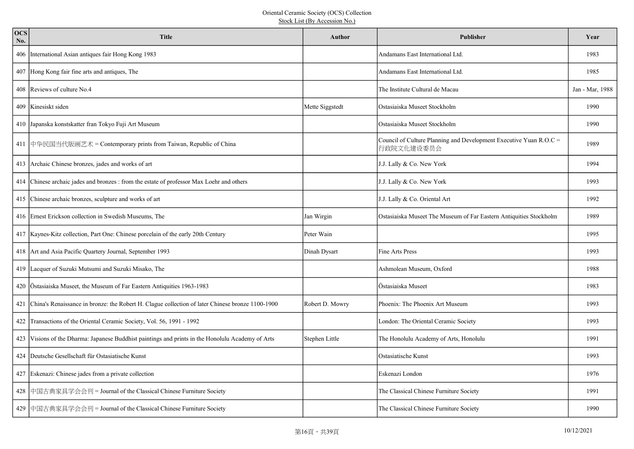| <b>OCS</b><br>No. | <b>Title</b>                                                                                         | Author          | <b>Publisher</b>                                                                 | Year            |
|-------------------|------------------------------------------------------------------------------------------------------|-----------------|----------------------------------------------------------------------------------|-----------------|
|                   | 406 International Asian antiques fair Hong Kong 1983                                                 |                 | Andamans East International Ltd.                                                 | 1983            |
|                   | 407 Hong Kong fair fine arts and antiques, The                                                       |                 | Andamans East International Ltd.                                                 | 1985            |
|                   | 408 Reviews of culture No.4                                                                          |                 | The Institute Cultural de Macau                                                  | Jan - Mar, 1988 |
|                   | 409 Kinesiskt siden                                                                                  | Mette Siggstedt | Ostasiaiska Museet Stockholm                                                     | 1990            |
|                   | 410 Japanska konstskatter fran Tokyo Fuji Art Museum                                                 |                 | Ostasiaiska Museet Stockholm                                                     | 1990            |
|                   | 411 中华民国当代版画艺术 = Contemporary prints from Taiwan, Republic of China                                  |                 | Council of Culture Planning and Development Executive Yuan R.O.C =<br>行政院文化建设委员会 | 1989            |
|                   | 413 Archaic Chinese bronzes, jades and works of art                                                  |                 | J.J. Lally & Co. New York                                                        | 1994            |
|                   | 414 Chinese archaic jades and bronzes : from the estate of professor Max Loehr and others            |                 | J.J. Lally & Co. New York                                                        | 1993            |
|                   | 415 Chinese archaic bronzes, sculpture and works of art                                              |                 | J.J. Lally & Co. Oriental Art                                                    | 1992            |
|                   | 416 Ernest Erickson collection in Swedish Museums, The                                               | Jan Wirgin      | Ostasiaiska Museet The Museum of Far Eastern Antiquities Stockholm               | 1989            |
|                   | 417 Kaynes-Kitz collection, Part One: Chinese porcelain of the early 20th Century                    | Peter Wain      |                                                                                  | 1995            |
|                   | 418 Art and Asia Pacific Quartery Journal, September 1993                                            | Dinah Dysart    | Fine Arts Press                                                                  | 1993            |
|                   | 419 Lacquer of Suzuki Mutsumi and Suzuki Misako, The                                                 |                 | Ashmolean Museum, Oxford                                                         | 1988            |
|                   | 420 Östasiaiska Museet, the Museum of Far Eastern Antiquities 1963-1983                              |                 | Östasiaiska Museet                                                               | 1983            |
|                   | 421 China's Renaissance in bronze: the Robert H. Clague collection of later Chinese bronze 1100-1900 | Robert D. Mowry | Phoenix: The Phoenix Art Museum                                                  | 1993            |
|                   | 422 Transactions of the Oriental Ceramic Society, Vol. 56, 1991 - 1992                               |                 | London: The Oriental Ceramic Society                                             | 1993            |
|                   | 423 Visions of the Dharma: Japanese Buddhist paintings and prints in the Honolulu Academy of Arts    | Stephen Little  | The Honolulu Academy of Arts, Honolulu                                           | 1991            |
|                   | 424 Deutsche Gesellschaft für Ostasiatische Kunst                                                    |                 | Ostasiatische Kunst                                                              | 1993            |
|                   | 427 Eskenazi: Chinese jades from a private collection                                                |                 | Eskenazi London                                                                  | 1976            |
|                   | 428 中国古典家具学会会刊 = Journal of the Classical Chinese Furniture Society                                  |                 | The Classical Chinese Furniture Society                                          | 1991            |
|                   | 429 中国古典家具学会会刊 = Journal of the Classical Chinese Furniture Society                                  |                 | The Classical Chinese Furniture Society                                          | 1990            |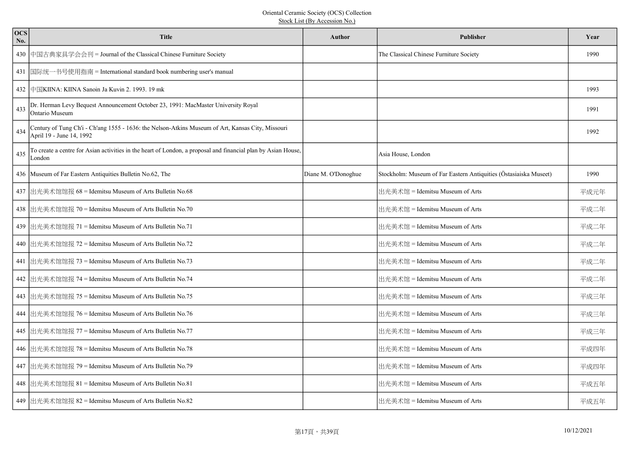| <b>OCS</b><br>No. | <b>Title</b>                                                                                                                  | Author              | Publisher                                                         | Year |
|-------------------|-------------------------------------------------------------------------------------------------------------------------------|---------------------|-------------------------------------------------------------------|------|
| 430               | 中国古典家具学会会刊 = Journal of the Classical Chinese Furniture Society                                                               |                     | The Classical Chinese Furniture Society                           | 1990 |
|                   | 431  国际统一书号使用指南 = International standard book numbering user's manual                                                         |                     |                                                                   |      |
|                   | 432 中国KIINA: KIINA Sanoin Ja Kuvin 2. 1993. 19 mk                                                                             |                     |                                                                   | 1993 |
| 433               | Dr. Herman Levy Bequest Announcement October 23, 1991: MacMaster University Royal<br>Ontario Museum                           |                     |                                                                   | 1991 |
| 434               | Century of Tung Ch'i - Ch'ang 1555 - 1636: the Nelson-Atkins Museum of Art, Kansas City, Missouri<br>April 19 - June 14, 1992 |                     |                                                                   | 1992 |
| 435               | To create a centre for Asian activities in the heart of London, a proposal and financial plan by Asian House,<br>London       |                     | Asia House, London                                                |      |
|                   | 436 Museum of Far Eastern Antiquities Bulletin No.62, The                                                                     | Diane M. O'Donoghue | Stockholm: Museum of Far Eastern Antiquities (Östasiaiska Museet) | 1990 |
|                   | 437 出光美术馆馆报 68 = Idemitsu Museum of Arts Bulletin No.68                                                                       |                     | 出光美术馆 = Idemitsu Museum of Arts                                   | 平成元年 |
|                   | 438 出光美术馆馆报 70 = Idemitsu Museum of Arts Bulletin No.70                                                                       |                     | 出光美术馆 = Idemitsu Museum of Arts                                   | 平成二年 |
|                   | 439 出光美术馆馆报 71 = Idemitsu Museum of Arts Bulletin No.71                                                                       |                     | 出光美术馆 = Idemitsu Museum of Arts                                   | 平成二年 |
|                   | 440 出光美术馆馆报 72 = Idemitsu Museum of Arts Bulletin No.72                                                                       |                     | 出光美术馆 = Idemitsu Museum of Arts                                   | 平成二年 |
|                   | 441 出光美术馆馆报 73 = Idemitsu Museum of Arts Bulletin No.73                                                                       |                     | 出光美术馆 = Idemitsu Museum of Arts                                   | 平成二年 |
|                   | 442 出光美术馆馆报 74 = Idemitsu Museum of Arts Bulletin No.74                                                                       |                     | 出光美术馆 = Idemitsu Museum of Arts                                   | 平成二年 |
|                   | 443 出光美术馆馆报 75 = Idemitsu Museum of Arts Bulletin No.75                                                                       |                     | 出光美术馆 = Idemitsu Museum of Arts                                   | 平成三年 |
|                   | 444 出光美术馆馆报 76 = Idemitsu Museum of Arts Bulletin No.76                                                                       |                     | 出光美术馆 = Idemitsu Museum of Arts                                   | 平成三年 |
|                   | 445 出光美术馆馆报 77 = Idemitsu Museum of Arts Bulletin No.77                                                                       |                     | 出光美术馆 = Idemitsu Museum of Arts                                   | 平成三年 |
|                   | 446 出光美术馆馆报 78 = Idemitsu Museum of Arts Bulletin No.78                                                                       |                     | 出光美术馆 = Idemitsu Museum of Arts                                   | 平成四年 |
|                   | 447 出光美术馆馆报 79 = Idemitsu Museum of Arts Bulletin No.79                                                                       |                     | 出光美术馆 = Idemitsu Museum of Arts                                   | 平成四年 |
|                   | 448 出光美术馆馆报 81 = Idemitsu Museum of Arts Bulletin No.81                                                                       |                     | 出光美术馆 = Idemitsu Museum of Arts                                   | 平成五年 |
|                   | 449 出光美术馆馆报 82 = Idemitsu Museum of Arts Bulletin No.82                                                                       |                     | 出光美术馆 = Idemitsu Museum of Arts                                   | 平成五年 |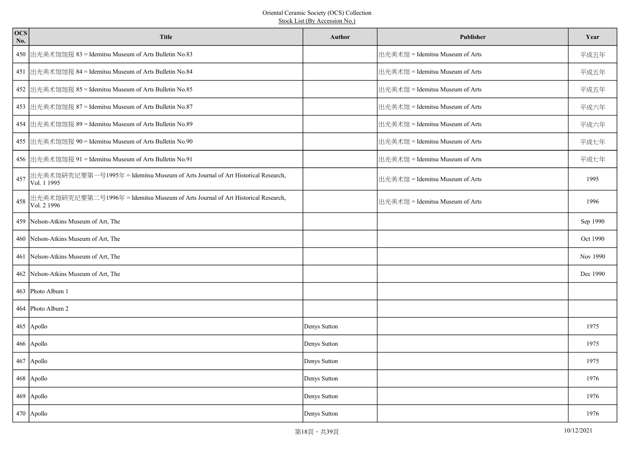| <b>OCS</b><br>No. | <b>Title</b>                                                                                   | <b>Author</b> | Publisher                       | Year     |
|-------------------|------------------------------------------------------------------------------------------------|---------------|---------------------------------|----------|
|                   | 450 出光美术馆馆报 83 = Idemitsu Museum of Arts Bulletin No.83                                        |               | 出光美术馆 = Idemitsu Museum of Arts | 平成五年     |
|                   | 451 出光美术馆馆报 84 = Idemitsu Museum of Arts Bulletin No.84                                        |               | 出光美术馆 = Idemitsu Museum of Arts | 平成五年     |
|                   | 452 出光美术馆馆报 85 = Idemitsu Museum of Arts Bulletin No.85                                        |               | 出光美术馆 = Idemitsu Museum of Arts | 平成五年     |
|                   | 453 出光美术馆馆报 87 = Idemitsu Museum of Arts Bulletin No.87                                        |               | 出光美术馆 = Idemitsu Museum of Arts | 平成六年     |
|                   | 454 出光美术馆馆报 89 = Idemitsu Museum of Arts Bulletin No.89                                        |               | 出光美术馆 = Idemitsu Museum of Arts | 平成六年     |
|                   | 455 出光美术馆馆报 90 = Idemitsu Museum of Arts Bulletin No.90                                        |               | 出光美术馆 = Idemitsu Museum of Arts | 平成七年     |
|                   | 456  出光美术馆馆报 91 = Idemitsu Museum of Arts Bulletin No.91                                       |               | 出光美术馆 = Idemitsu Museum of Arts | 平成七年     |
| 457               | 出光美术馆研究纪要第一号1995年 = Idemitsu Museum of Arts Journal of Art Historical Research,<br>Vol. 1 1995 |               | 出光美术馆 = Idemitsu Museum of Arts | 1995     |
| 458               | 出光美术馆研究纪要第二号1996年 = Idemitsu Museum of Arts Journal of Art Historical Research,<br>Vol. 2 1996 |               | 出光美术馆 = Idemitsu Museum of Arts | 1996     |
|                   | 459 Nelson-Atkins Museum of Art, The                                                           |               |                                 | Sep 1990 |
|                   | 460 Nelson-Atkins Museum of Art, The                                                           |               |                                 | Oct 1990 |
|                   | 461 Nelson-Atkins Museum of Art, The                                                           |               |                                 | Nov 1990 |
|                   | 462   Nelson-Atkins Museum of Art, The                                                         |               |                                 | Dec 1990 |
|                   | 463 Photo Album 1                                                                              |               |                                 |          |
|                   | 464 Photo Album 2                                                                              |               |                                 |          |
|                   | 465 Apollo                                                                                     | Denys Sutton  |                                 | 1975     |
|                   | $466$ Apollo                                                                                   | Denys Sutton  |                                 | 1975     |
|                   | $467$ Apollo                                                                                   | Denys Sutton  |                                 | 1975     |
|                   | 468 Apollo                                                                                     | Denys Sutton  |                                 | 1976     |
|                   | $469$ Apollo                                                                                   | Denys Sutton  |                                 | 1976     |
|                   | 470 Apollo                                                                                     | Denys Sutton  |                                 | 1976     |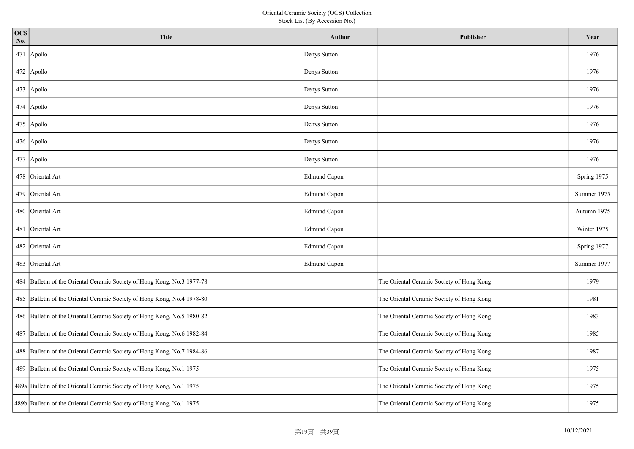| <b>OCS</b><br>No. | <b>Title</b>                                                            | Author              | Publisher                                 | Year        |
|-------------------|-------------------------------------------------------------------------|---------------------|-------------------------------------------|-------------|
|                   | 471 Apollo                                                              | Denys Sutton        |                                           | 1976        |
|                   | $472$ Apollo                                                            | Denys Sutton        |                                           | 1976        |
|                   | $473$ Apollo                                                            | Denys Sutton        |                                           | 1976        |
|                   | $474$ Apollo                                                            | Denys Sutton        |                                           | 1976        |
|                   | $475$ Apollo                                                            | Denys Sutton        |                                           | 1976        |
|                   | $476$ Apollo                                                            | Denys Sutton        |                                           | 1976        |
|                   | 477 Apollo                                                              | Denys Sutton        |                                           | 1976        |
|                   | 478 Oriental Art                                                        | <b>Edmund Capon</b> |                                           | Spring 1975 |
|                   | 479 Oriental Art                                                        | <b>Edmund Capon</b> |                                           | Summer 1975 |
|                   | 480 Oriental Art                                                        | <b>Edmund Capon</b> |                                           | Autumn 1975 |
|                   | 481 Oriental Art                                                        | Edmund Capon        |                                           | Winter 1975 |
|                   | 482 Oriental Art                                                        | Edmund Capon        |                                           | Spring 1977 |
|                   | 483 Oriental Art                                                        | <b>Edmund Capon</b> |                                           | Summer 1977 |
|                   | 484 Bulletin of the Oriental Ceramic Society of Hong Kong, No.3 1977-78 |                     | The Oriental Ceramic Society of Hong Kong | 1979        |
|                   | 485 Bulletin of the Oriental Ceramic Society of Hong Kong, No.4 1978-80 |                     | The Oriental Ceramic Society of Hong Kong | 1981        |
|                   | 486 Bulletin of the Oriental Ceramic Society of Hong Kong, No.5 1980-82 |                     | The Oriental Ceramic Society of Hong Kong | 1983        |
|                   | 487 Bulletin of the Oriental Ceramic Society of Hong Kong, No.6 1982-84 |                     | The Oriental Ceramic Society of Hong Kong | 1985        |
|                   | 488 Bulletin of the Oriental Ceramic Society of Hong Kong, No.7 1984-86 |                     | The Oriental Ceramic Society of Hong Kong | 1987        |
|                   | 489 Bulletin of the Oriental Ceramic Society of Hong Kong, No.1 1975    |                     | The Oriental Ceramic Society of Hong Kong | 1975        |
|                   | 489a Bulletin of the Oriental Ceramic Society of Hong Kong, No.1 1975   |                     | The Oriental Ceramic Society of Hong Kong | 1975        |
|                   | 489b Bulletin of the Oriental Ceramic Society of Hong Kong, No.1 1975   |                     | The Oriental Ceramic Society of Hong Kong | 1975        |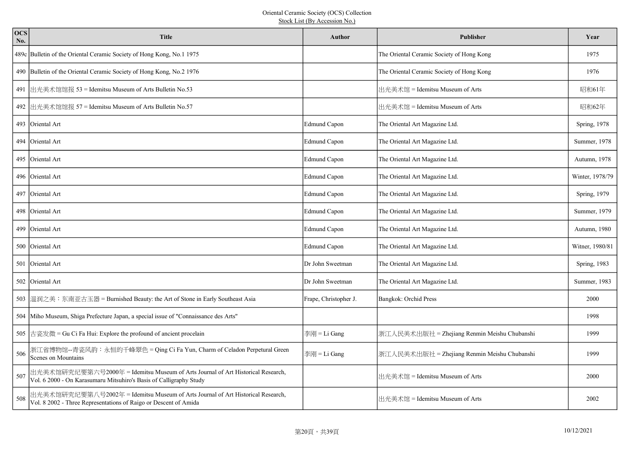| <b>OCS</b><br>No. | <b>Title</b>                                                                                                                                          | Author                | Publisher                                    | Year            |
|-------------------|-------------------------------------------------------------------------------------------------------------------------------------------------------|-----------------------|----------------------------------------------|-----------------|
|                   | 489c Bulletin of the Oriental Ceramic Society of Hong Kong, No.1 1975                                                                                 |                       | The Oriental Ceramic Society of Hong Kong    | 1975            |
|                   | 490 Bulletin of the Oriental Ceramic Society of Hong Kong, No.2 1976                                                                                  |                       | The Oriental Ceramic Society of Hong Kong    | 1976            |
|                   | 491 出光美术馆馆报 53 = Idemitsu Museum of Arts Bulletin No.53                                                                                               |                       | 出光美术馆 = Idemitsu Museum of Arts              | 昭和61年           |
|                   | 492  出光美术馆馆报 57 = Idemitsu Museum of Arts Bulletin No.57                                                                                              |                       | 出光美术馆 = Idemitsu Museum of Arts              | 昭和62年           |
|                   | 493 Oriental Art                                                                                                                                      | Edmund Capon          | The Oriental Art Magazine Ltd.               | Spring, 1978    |
|                   | 494 Oriental Art                                                                                                                                      | Edmund Capon          | The Oriental Art Magazine Ltd.               | Summer, 1978    |
|                   | 495 Oriental Art                                                                                                                                      | Edmund Capon          | The Oriental Art Magazine Ltd.               | Autumn, 1978    |
|                   | 496 Oriental Art                                                                                                                                      | Edmund Capon          | The Oriental Art Magazine Ltd.               | Winter, 1978/79 |
|                   | 497 Oriental Art                                                                                                                                      | Edmund Capon          | The Oriental Art Magazine Ltd.               | Spring, 1979    |
|                   | 498 Oriental Art                                                                                                                                      | Edmund Capon          | The Oriental Art Magazine Ltd.               | Summer, 1979    |
|                   | 499 Oriental Art                                                                                                                                      | Edmund Capon          | The Oriental Art Magazine Ltd.               | Autumn, 1980    |
|                   | 500 Oriental Art                                                                                                                                      | Edmund Capon          | The Oriental Art Magazine Ltd.               | Witner, 1980/81 |
|                   | 501 Oriental Art                                                                                                                                      | Dr John Sweetman      | The Oriental Art Magazine Ltd.               | Spring, 1983    |
|                   | 502 Oriental Art                                                                                                                                      | Dr John Sweetman      | The Oriental Art Magazine Ltd.               | Summer, 1983    |
|                   | 503 温润之美:东南亚古玉器 = Burnished Beauty: the Art of Stone in Early Southeast Asia                                                                          | Frape, Christopher J. | Bangkok: Orchid Press                        | 2000            |
|                   | 504 Miho Museum, Shiga Prefecture Japan, a special issue of "Connaissance des Arts"                                                                   |                       |                                              | 1998            |
|                   | 505 古瓷发微 = Gu Ci Fa Hui: Explore the profound of ancient procelain                                                                                    | 李刚 = Li Gang          | 浙江人民美术出版社 = Zhejiang Renmin Meishu Chubanshi | 1999            |
| 506               | 折江省博物馆--青瓷风韵:永恒的千峰翠色 = Qing Ci Fa Yun, Charm of Celadon Perpetural Green<br>Scenes on Mountains                                                       | 李刚 = Li Gang          | 浙江人民美术出版社 = Zhejiang Renmin Meishu Chubanshi | 1999            |
| 507               | 出光美术馆研究纪要第六号2000年 = Idemitsu Museum of Arts Journal of Art Historical Research,<br>Vol. 6 2000 - On Karasumaru Mitsuhiro's Basis of Calligraphy Study |                       | 出光美术馆 = Idemitsu Museum of Arts              | 2000            |
| 508               | 出光美术馆研究纪要第八号2002年 = Idemitsu Museum of Arts Journal of Art Historical Research, Vol. 8 2002 - Three Representations of Raigo or Descent of Amida      |                       | 出光美术馆 = Idemitsu Museum of Arts              | 2002            |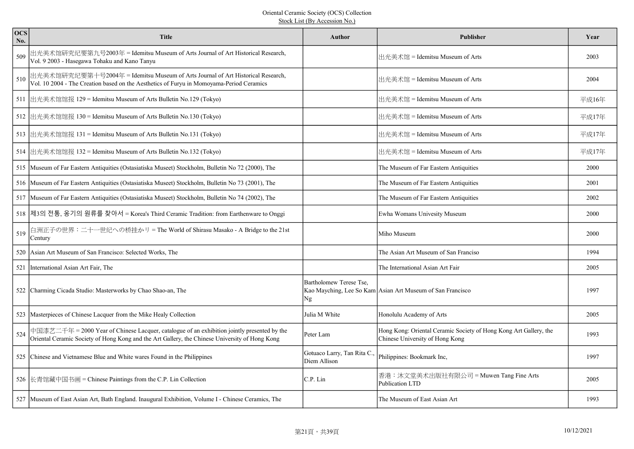| <b>OCS</b><br>No. | <b>Title</b>                                                                                                                                                                                  | <b>Author</b>                              | <b>Publisher</b>                                                                                     | Year  |
|-------------------|-----------------------------------------------------------------------------------------------------------------------------------------------------------------------------------------------|--------------------------------------------|------------------------------------------------------------------------------------------------------|-------|
| 509               | 出光美术馆研究纪要第九号2003年 = Idemitsu Museum of Arts Journal of Art Historical Research,<br>Vol. 9 2003 - Hasegawa Tohaku and Kano Tanyu                                                               |                                            | 出光美术馆 = Idemitsu Museum of Arts                                                                      | 2003  |
| 510               | 出光美术馆研究纪要第十号2004年 = Idemitsu Museum of Arts Journal of Art Historical Research,<br> Vol. 10 2004 - The Creation based on the Aesthetics of Furyu in Momoyama-Period Ceramics                  |                                            | 出光美术馆 = Idemitsu Museum of Arts                                                                      | 2004  |
|                   | 511 出光美术馆馆报 129 = Idemitsu Museum of Arts Bulletin No.129 (Tokyo)                                                                                                                             |                                            | 出光美术馆 = Idemitsu Museum of Arts                                                                      | 平成16年 |
|                   | 512 出光美术馆馆报 130 = Idemitsu Museum of Arts Bulletin No.130 (Tokyo)                                                                                                                             |                                            | 出光美术馆 = Idemitsu Museum of Arts                                                                      | 平成17年 |
|                   | 513 出光美术馆馆报 131 = Idemitsu Museum of Arts Bulletin No.131 (Tokyo)                                                                                                                             |                                            | 出光美术馆 = Idemitsu Museum of Arts                                                                      | 平成17年 |
|                   | 514 出光美术馆馆报 132 = Idemitsu Museum of Arts Bulletin No.132 (Tokyo)                                                                                                                             |                                            | 出光美术馆 = Idemitsu Museum of Arts                                                                      | 平成17年 |
|                   | 515 Museum of Far Eastern Antiquities (Ostasiatiska Museet) Stockholm, Bulletin No 72 (2000), The                                                                                             |                                            | The Museum of Far Eastern Antiquities                                                                | 2000  |
|                   | 516 Museum of Far Eastern Antiquities (Ostasiatiska Museet) Stockholm, Bulletin No 73 (2001), The                                                                                             |                                            | The Museum of Far Eastern Antiquities                                                                | 2001  |
|                   | 517 Museum of Far Eastern Antiquities (Ostasiatiska Museet) Stockholm, Bulletin No 74 (2002), The                                                                                             |                                            | The Museum of Far Eastern Antiquities                                                                | 2002  |
|                   | 518  제3의 전통, 옹기의 원류를 찾아서 = Korea's Third Ceramic Tradition: from Earthenware to Onggi                                                                                                         |                                            | Ewha Womans Univesity Museum                                                                         | 2000  |
| 519               | 白洲正子の世界:二十一世纪への桥挂かリ = The World of Shirasu Masako - A Bridge to the 21st<br>Century                                                                                                           |                                            | Miho Museum                                                                                          | 2000  |
|                   | 520 Asian Art Museum of San Francisco: Selected Works, The                                                                                                                                    |                                            | The Asian Art Museum of San Franciso                                                                 | 1994  |
|                   | 521 International Asian Art Fair, The                                                                                                                                                         |                                            | The International Asian Art Fair                                                                     | 2005  |
|                   | 522 Charming Cicada Studio: Masterworks by Chao Shao-an, The                                                                                                                                  | Bartholomew Terese Tse,<br>Ng              | Kao Mayching, Lee So Kam Asian Art Museum of San Francisco                                           | 1997  |
|                   | 523 Masterpieces of Chinese Lacquer from the Mike Healy Collection                                                                                                                            | Julia M White                              | Honolulu Academy of Arts                                                                             | 2005  |
| 524               | 中国漆艺二千年 = 2000 Year of Chinese Lacquer, catalogue of an exhibition jointly presented by the<br>Oriental Ceramic Society of Hong Kong and the Art Gallery, the Chinese University of Hong Kong | Peter Lam                                  | Hong Kong: Oriental Ceramic Society of Hong Kong Art Gallery, the<br>Chinese University of Hong Kong | 1993  |
|                   | 525 Chinese and Vietnamese Blue and White wares Found in the Philippines                                                                                                                      | Gotuaco Larry, Tan Rita C.<br>Diem Allison | Philippines: Bookmark Inc,                                                                           | 1997  |
|                   | 526 长青馆藏中国书画 = Chinese Paintings from the C.P. Lin Collection                                                                                                                                 | C.P. Lin                                   | 香港:沐文堂美术出版社有限公司 = Muwen Tang Fine Arts<br><b>Publication LTD</b>                                     | 2005  |
|                   | 527 Museum of East Asian Art, Bath England. Inaugural Exhibition, Volume I - Chinese Ceramics, The                                                                                            |                                            | The Museum of East Asian Art                                                                         | 1993  |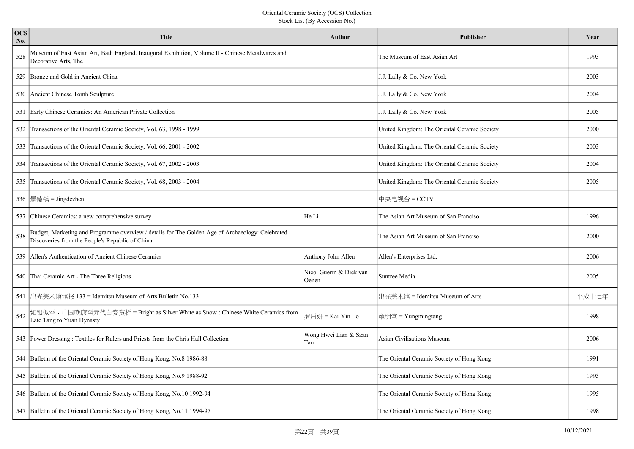| <b>OCS</b><br>No. | <b>Title</b>                                                                                                                                        | <b>Author</b>                    | Publisher                                    | Year  |
|-------------------|-----------------------------------------------------------------------------------------------------------------------------------------------------|----------------------------------|----------------------------------------------|-------|
| 528               | Museum of East Asian Art, Bath England. Inaugural Exhibition, Volume II - Chinese Metalwares and<br>Decorative Arts, The                            |                                  | The Museum of East Asian Art                 | 1993  |
|                   | 529 Bronze and Gold in Ancient China                                                                                                                |                                  | J.J. Lally & Co. New York                    | 2003  |
|                   | 530 Ancient Chinese Tomb Sculpture                                                                                                                  |                                  | J.J. Lally & Co. New York                    | 2004  |
|                   | 531 Early Chinese Ceramics: An American Private Collection                                                                                          |                                  | J.J. Lally & Co. New York                    | 2005  |
|                   | 532 Transactions of the Oriental Ceramic Society, Vol. 63, 1998 - 1999                                                                              |                                  | United Kingdom: The Oriental Ceramic Society | 2000  |
|                   | 533 Transactions of the Oriental Ceramic Society, Vol. 66, 2001 - 2002                                                                              |                                  | United Kingdom: The Oriental Ceramic Society | 2003  |
|                   | 534 Transactions of the Oriental Ceramic Society, Vol. 67, 2002 - 2003                                                                              |                                  | United Kingdom: The Oriental Ceramic Society | 2004  |
|                   | 535 Transactions of the Oriental Ceramic Society, Vol. 68, 2003 - 2004                                                                              |                                  | United Kingdom: The Oriental Ceramic Society | 2005  |
|                   | 536  景德镇 = Jingdezhen                                                                                                                               |                                  | 中央电视台 = CCTV                                 |       |
|                   | 537 Chinese Ceramics: a new comprehensive survey                                                                                                    | He Li                            | The Asian Art Museum of San Franciso         | 1996  |
| 538               | Budget, Marketing and Programme overview / details for The Golden Age of Archaeology: Celebrated<br>Discoveries from the People's Republic of China |                                  | The Asian Art Museum of San Franciso         | 2000  |
| 539               | Allen's Authentication of Ancient Chinese Ceramics                                                                                                  | Anthony John Allen               | Allen's Enterprises Ltd.                     | 2006  |
|                   | 540 Thai Ceramic Art - The Three Religions                                                                                                          | Nicol Guerin & Dick van<br>Oenen | Suntree Media                                | 2005  |
|                   | 541 出光美术馆馆报 133 = Idemitsu Museum of Arts Bulletin No.133                                                                                           |                                  | 出光美术馆 = Idemitsu Museum of Arts              | 平成十七年 |
| 542               | 如银似雪:中国晚唐至元代白瓷赏析 = Bright as Silver White as Snow : Chinese White Ceramics from<br>Late Tang to Yuan Dynasty                                        | 罗启妍 = Kai-Yin Lo                 | 雍明堂 = Yungmingtang                           | 1998  |
|                   | 543 Power Dressing: Textiles for Rulers and Priests from the Chris Hall Collection                                                                  | Wong Hwei Lian & Szan<br>Tan     | Asian Civilisations Museum                   | 2006  |
|                   | 544 Bulletin of the Oriental Ceramic Society of Hong Kong, No.8 1986-88                                                                             |                                  | The Oriental Ceramic Society of Hong Kong    | 1991  |
|                   | 545 Bulletin of the Oriental Ceramic Society of Hong Kong, No.9 1988-92                                                                             |                                  | The Oriental Ceramic Society of Hong Kong    | 1993  |
|                   | 546 Bulletin of the Oriental Ceramic Society of Hong Kong, No.10 1992-94                                                                            |                                  | The Oriental Ceramic Society of Hong Kong    | 1995  |
|                   | 547 Bulletin of the Oriental Ceramic Society of Hong Kong, No.11 1994-97                                                                            |                                  | The Oriental Ceramic Society of Hong Kong    | 1998  |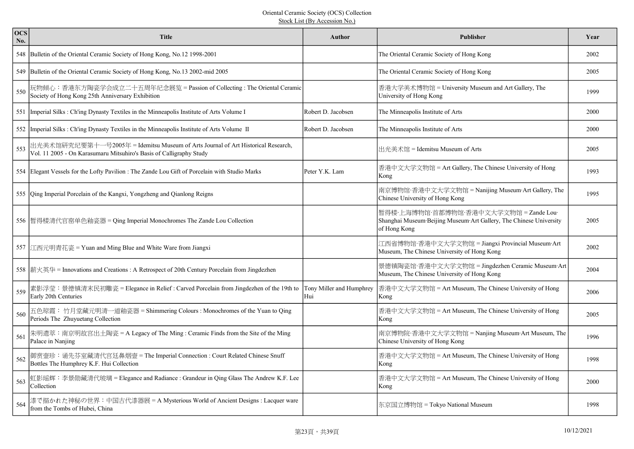| <b>OCS</b><br>No. | <b>Title</b>                                                                                                                                            | <b>Author</b>                   | <b>Publisher</b>                                                                                                             | Year |
|-------------------|---------------------------------------------------------------------------------------------------------------------------------------------------------|---------------------------------|------------------------------------------------------------------------------------------------------------------------------|------|
|                   | 548 Bulletin of the Oriental Ceramic Society of Hong Kong, No.12 1998-2001                                                                              |                                 | The Oriental Ceramic Society of Hong Kong                                                                                    | 2002 |
|                   | 549 Bulletin of the Oriental Ceramic Society of Hong Kong, No.13 2002-mid 2005                                                                          |                                 | The Oriental Ceramic Society of Hong Kong                                                                                    | 2005 |
| 550               | 玩物倾心:香港东方陶瓷学会成立二十五周年纪念展览 = Passion of Collecting : The Oriental Ceramic<br>Society of Hong Kong 25th Anniversary Exhibition                             |                                 | 香港大学美术博物馆 = University Museum and Art Gallery, The<br>University of Hong Kong                                                | 1999 |
|                   | 551   Imperial Silks : Ch'ing Dynasty Textiles in the Minneapolis Institute of Arts Volume I                                                            | Robert D. Jacobsen              | The Minneapolis Institute of Arts                                                                                            | 2000 |
|                   | 552   Imperial Silks : Ch'ing Dynasty Textiles in the Minneapolis Institute of Arts Volume II                                                           | Robert D. Jacobsen              | The Minneapolis Institute of Arts                                                                                            | 2000 |
| 553               | 出光美术馆研究纪要第十一号2005年 = Idemitsu Museum of Arts Journal of Art Historical Research,<br>Vol. 11 2005 - On Karasumaru Mitsuhiro's Basis of Calligraphy Study |                                 | 出光美术馆 = Idemitsu Museum of Arts                                                                                              | 2005 |
|                   | 554 Elegant Vessels for the Lofty Pavilion : The Zande Lou Gift of Porcelain with Studio Marks                                                          | Peter Y.K. Lam                  | 香港中文大学文物馆 = Art Gallery, The Chinese University of Hong<br>Kong                                                              | 1993 |
|                   | 555   Qing Imperial Porcelain of the Kangxi, Yongzheng and Qianlong Reigns                                                                              |                                 | 南京博物馆·香港中文大学文物馆 = Nanijing Museum·Art Gallery, The<br>Chinese University of Hong Kong                                        | 1995 |
|                   | 556   暂得楼清代官窑单色釉瓷器 = Qing Imperial Monochromes The Zande Lou Collection                                                                                 |                                 | 暂得楼·上海博物馆·首都博物馆·香港中文大学文物馆 = Zande Lou·<br>Shanghai Museum Beijing Museum Art Gallery, The Chinese University<br>of Hong Kong | 2005 |
|                   | 557  江西元明青花瓷 = Yuan and Ming Blue and White Ware from Jiangxi                                                                                           |                                 | 江西省博物馆·香港中文大学文物馆 = Jiangxi Provincial Museum·Art<br>Museum, The Chinese University of Hong Kong                              | 2002 |
|                   | 558 薪火英华 = Innovations and Creations : A Retrospect of 20th Century Porcelain from Jingdezhen                                                           |                                 | 景德镇陶瓷馆·香港中文大学文物馆 = Jingdezhen Ceramic Museum·Art<br>Museum, The Chinese University of Hong Kong                              | 2004 |
| 559               | 素影浮莹:景德镇清末民初雕瓷 = Elegance in Relief : Carved Porcelain from Jingdezhen of the 19th to<br>Early 20th Centuries                                           | Tony Miller and Humphrey<br>Hui | 香港中文大学文物馆 = Art Museum, The Chinese University of Hong<br>Kong                                                               | 2006 |
| 560               | 五色琼霞:竹月堂藏元明清一道釉瓷器 = Shimmering Colours : Monochromes of the Yuan to Qing<br>Periods The Zhuyuetang Collection                                           |                                 | 香港中文大学文物馆 = Art Museum, The Chinese University of Hong<br>Kong                                                               | 2005 |
| 561               | 朱明遗萃:南京明故宫出土陶瓷 = A Legacy of The Ming : Ceramic Finds from the Site of the Ming<br>Palace in Nanjing                                                    |                                 | 南京博物院·香港中文大学文物馆 = Nanjing Museum·Art Museum, The<br>Chinese University of Hong Kong                                          | 1996 |
| 562               | 御赏壸珍:诵先芬室藏清代宫廷鼻烟壸 = The Imperial Connection : Court Related Chinese Snuff<br>Bottles The Humphrey K.F. Hui Collection                                   |                                 | 香港中文大学文物馆 = Art Museum, The Chinese University of Hong<br>Kong                                                               | 1998 |
| 563               | 虹影瑶辉:李景勋藏清代玻璃 = Elegance and Radiance : Grandeur in Qing Glass The Andrew K.F. Lee<br>Collection                                                        |                                 | 香港中文大学文物馆 = Art Museum, The Chinese University of Hong<br>Kong                                                               | 2000 |
| 564               | 黍で描かれた神秘の世界:中国古代漆器展 = A Mysterious World of Ancient Designs : Lacquer ware<br>from the Tombs of Hubei, China                                            |                                 | 东京国立博物馆 = Tokyo National Museum                                                                                              | 1998 |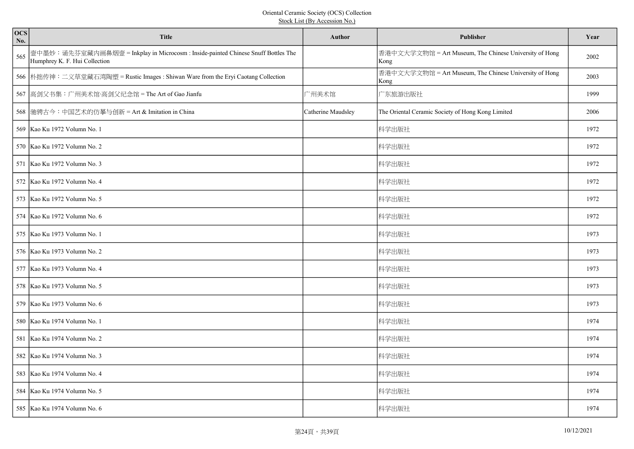| ocs<br>No. | <b>Title</b>                                                                                                       | <b>Author</b>      | <b>Publisher</b>                                               | Year |
|------------|--------------------------------------------------------------------------------------------------------------------|--------------------|----------------------------------------------------------------|------|
| 565        | 壸中墨妙:诵先芬室藏内画鼻烟壸 = Inkplay in Microcosm : Inside-painted Chinese Snuff Bottles The<br>Humphrey K. F. Hui Collection |                    | 香港中文大学文物馆 = Art Museum, The Chinese University of Hong<br>Kong | 2002 |
|            | 566 朴拙传神:二义草堂藏石湾陶塑 = Rustic Images : Shiwan Ware from the Eryi Caotang Collection                                  |                    | 香港中文大学文物馆 = Art Museum, The Chinese University of Hong<br>Kong | 2003 |
|            | 567 高剑父书集:广州美术馆·高剑父纪念馆 = The Art of Gao Jianfu                                                                     | 广州美术馆              | 广东旅游出版社                                                        | 1999 |
|            | 568  驰骋古今:中国艺术的仿摹与创新 = Art & Imitation in China                                                                    | Catherine Maudsley | The Oriental Ceramic Society of Hong Kong Limited              | 2006 |
|            | 569 Kao Ku 1972 Volumn No. 1                                                                                       |                    | 科学出版社                                                          | 1972 |
|            | 570 Kao Ku 1972 Volumn No. 2                                                                                       |                    | 科学出版社                                                          | 1972 |
|            | 571 Kao Ku 1972 Volumn No. 3                                                                                       |                    | 科学出版社                                                          | 1972 |
|            | 572 Kao Ku 1972 Volumn No. 4                                                                                       |                    | 科学出版社                                                          | 1972 |
|            | 573   Kao Ku 1972 Volumn No. 5                                                                                     |                    | 科学出版社                                                          | 1972 |
|            | 574 Kao Ku 1972 Volumn No. 6                                                                                       |                    | 科学出版社                                                          | 1972 |
|            | 575 Kao Ku 1973 Volumn No. 1                                                                                       |                    | 科学出版社                                                          | 1973 |
|            | 576   Kao Ku 1973 Volumn No. 2                                                                                     |                    | 科学出版社                                                          | 1973 |
|            | 577 Kao Ku 1973 Volumn No. 4                                                                                       |                    | 科学出版社                                                          | 1973 |
|            | 578 Kao Ku 1973 Volumn No. 5                                                                                       |                    | 科学出版社                                                          | 1973 |
|            | 579   Kao Ku 1973 Volumn No. 6                                                                                     |                    | 科学出版社                                                          | 1973 |
|            | 580 Kao Ku 1974 Volumn No. 1                                                                                       |                    | 科学出版社                                                          | 1974 |
|            | 581 Kao Ku 1974 Volumn No. 2                                                                                       |                    | 科学出版社                                                          | 1974 |
|            | 582 Kao Ku 1974 Volumn No. 3                                                                                       |                    | 科学出版社                                                          | 1974 |
|            | 583 Kao Ku 1974 Volumn No. 4                                                                                       |                    | 科学出版社                                                          | 1974 |
|            | 584 Kao Ku 1974 Volumn No. 5                                                                                       |                    | 科学出版社                                                          | 1974 |
|            | 585   Kao Ku 1974 Volumn No. 6                                                                                     |                    | 科学出版社                                                          | 1974 |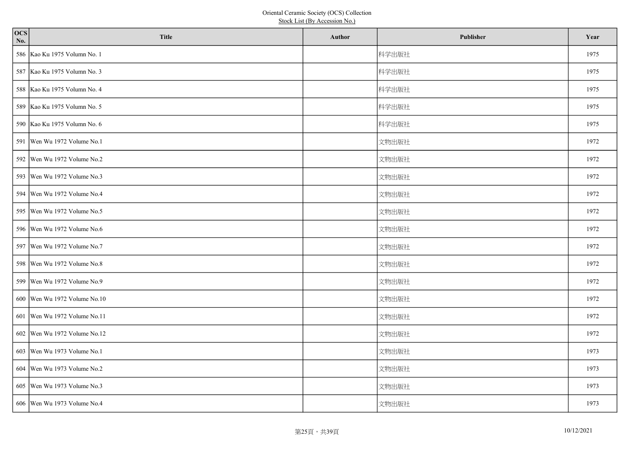| <b>OCS</b><br>No. | <b>Title</b>                   | Author | Publisher | Year |
|-------------------|--------------------------------|--------|-----------|------|
|                   | 586 Kao Ku 1975 Volumn No. 1   |        | 科学出版社     | 1975 |
|                   | 587 Kao Ku 1975 Volumn No. 3   |        | 科学出版社     | 1975 |
|                   | 588 Kao Ku 1975 Volumn No. 4   |        | 科学出版社     | 1975 |
|                   | 589 Kao Ku 1975 Volumn No. 5   |        | 科学出版社     | 1975 |
|                   | 590 Kao Ku 1975 Volumn No. 6   |        | 科学出版社     | 1975 |
|                   | 591   Wen Wu 1972 Volume No.1  |        | 文物出版社     | 1972 |
|                   | 592 Wen Wu 1972 Volume No.2    |        | 文物出版社     | 1972 |
|                   | 593   Wen Wu 1972 Volume No.3  |        | 文物出版社     | 1972 |
|                   | 594   Wen Wu 1972 Volume No.4  |        | 文物出版社     | 1972 |
|                   | 595   Wen Wu 1972 Volume No.5  |        | 文物出版社     | 1972 |
|                   | 596   Wen Wu 1972 Volume No.6  |        | 文物出版社     | 1972 |
|                   | 597 Wen Wu 1972 Volume No.7    |        | 文物出版社     | 1972 |
|                   | 598   Wen Wu 1972 Volume No.8  |        | 文物出版社     | 1972 |
|                   | 599   Wen Wu 1972 Volume No.9  |        | 文物出版社     | 1972 |
|                   | 600   Wen Wu 1972 Volume No.10 |        | 文物出版社     | 1972 |
|                   | 601   Wen Wu 1972 Volume No.11 |        | 文物出版社     | 1972 |
|                   | 602 Wen Wu 1972 Volume No.12   |        | 文物出版社     | 1972 |
|                   | 603   Wen Wu 1973 Volume No.1  |        | 文物出版社     | 1973 |
|                   | 604   Wen Wu 1973 Volume No.2  |        | 文物出版社     | 1973 |
|                   | 605   Wen Wu 1973 Volume No.3  |        | 文物出版社     | 1973 |
|                   | 606   Wen Wu 1973 Volume No.4  |        | 文物出版社     | 1973 |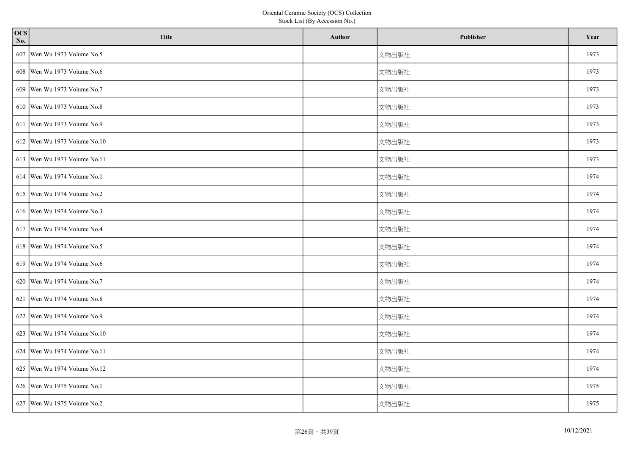| $\overline{ocs}$<br>No. | <b>Title</b>                   | Author | Publisher | Year |
|-------------------------|--------------------------------|--------|-----------|------|
|                         | 607 Wen Wu 1973 Volume No.5    |        | 文物出版社     | 1973 |
|                         | 608   Wen Wu 1973 Volume No.6  |        | 文物出版社     | 1973 |
|                         | 609   Wen Wu 1973 Volume No.7  |        | 文物出版社     | 1973 |
|                         | 610 Wen Wu 1973 Volume No.8    |        | 文物出版社     | 1973 |
|                         | 611   Wen Wu 1973 Volume No.9  |        | 文物出版社     | 1973 |
|                         | 612 Wen Wu 1973 Volume No.10   |        | 文物出版社     | 1973 |
|                         | 613   Wen Wu 1973 Volume No.11 |        | 文物出版社     | 1973 |
|                         | 614   Wen Wu 1974 Volume No.1  |        | 文物出版社     | 1974 |
|                         | 615   Wen Wu 1974 Volume No.2  |        | 文物出版社     | 1974 |
|                         | 616 Wen Wu 1974 Volume No.3    |        | 文物出版社     | 1974 |
|                         | 617 Wen Wu 1974 Volume No.4    |        | 文物出版社     | 1974 |
|                         | 618   Wen Wu 1974 Volume No.5  |        | 文物出版社     | 1974 |
|                         | 619   Wen Wu 1974 Volume No.6  |        | 文物出版社     | 1974 |
|                         | 620 Wen Wu 1974 Volume No.7    |        | 文物出版社     | 1974 |
|                         | 621 Wen Wu 1974 Volume No.8    |        | 文物出版社     | 1974 |
|                         | 622 Wen Wu 1974 Volume No.9    |        | 文物出版社     | 1974 |
|                         | 623   Wen Wu 1974 Volume No.10 |        | 文物出版社     | 1974 |
|                         | 624   Wen Wu 1974 Volume No.11 |        | 文物出版社     | 1974 |
|                         | 625   Wen Wu 1974 Volume No.12 |        | 文物出版社     | 1974 |
|                         | 626   Wen Wu 1975 Volume No.1  |        | 文物出版社     | 1975 |
|                         | 627   Wen Wu 1975 Volume No.2  |        | 文物出版社     | 1975 |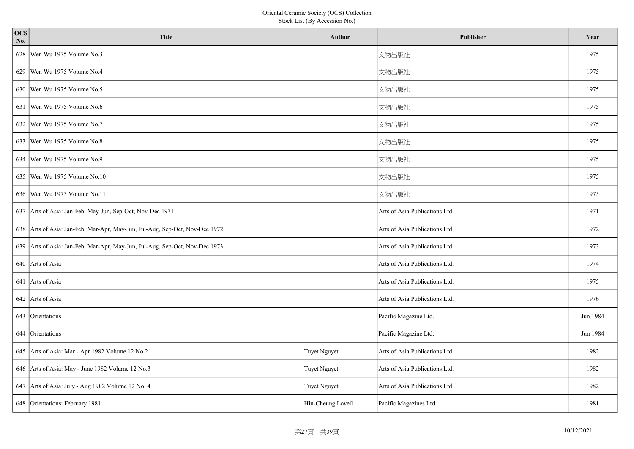| <b>OCS</b><br>No. | <b>Title</b>                                                                | Author            | Publisher                      | Year     |
|-------------------|-----------------------------------------------------------------------------|-------------------|--------------------------------|----------|
|                   | 628   Wen Wu 1975 Volume No.3                                               |                   | 文物出版社                          | 1975     |
|                   | 629   Wen Wu 1975 Volume No.4                                               |                   | 文物出版社                          | 1975     |
|                   | 630   Wen Wu 1975 Volume No.5                                               |                   | 文物出版社                          | 1975     |
|                   | 631   Wen Wu 1975 Volume No.6                                               |                   | 文物出版社                          | 1975     |
|                   | 632 Wen Wu 1975 Volume No.7                                                 |                   | 文物出版社                          | 1975     |
|                   | 633   Wen Wu 1975 Volume No.8                                               |                   | 文物出版社                          | 1975     |
|                   | 634   Wen Wu 1975 Volume No.9                                               |                   | 文物出版社                          | 1975     |
|                   | 635   Wen Wu 1975 Volume No.10                                              |                   | 文物出版社                          | 1975     |
|                   | 636   Wen Wu 1975 Volume No.11                                              |                   | 文物出版社                          | 1975     |
|                   | 637 Arts of Asia: Jan-Feb, May-Jun, Sep-Oct, Nov-Dec 1971                   |                   | Arts of Asia Publications Ltd. | 1971     |
|                   | 638 Arts of Asia: Jan-Feb, Mar-Apr, May-Jun, Jul-Aug, Sep-Oct, Nov-Dec 1972 |                   | Arts of Asia Publications Ltd. | 1972     |
|                   | 639 Arts of Asia: Jan-Feb, Mar-Apr, May-Jun, Jul-Aug, Sep-Oct, Nov-Dec 1973 |                   | Arts of Asia Publications Ltd. | 1973     |
|                   | 640 Arts of Asia                                                            |                   | Arts of Asia Publications Ltd. | 1974     |
|                   | 641 Arts of Asia                                                            |                   | Arts of Asia Publications Ltd. | 1975     |
|                   | 642 Arts of Asia                                                            |                   | Arts of Asia Publications Ltd. | 1976     |
|                   | 643 Orientations                                                            |                   | Pacific Magazine Ltd.          | Jun 1984 |
|                   | 644 Orientations                                                            |                   | Pacific Magazine Ltd.          | Jun 1984 |
|                   | 645 Arts of Asia: Mar - Apr 1982 Volume 12 No.2                             | Tuyet Nguyet      | Arts of Asia Publications Ltd. | 1982     |
|                   | 646 Arts of Asia: May - June 1982 Volume 12 No.3                            | Tuyet Nguyet      | Arts of Asia Publications Ltd. | 1982     |
|                   | 647 Arts of Asia: July - Aug 1982 Volume 12 No. 4                           | Tuyet Nguyet      | Arts of Asia Publications Ltd. | 1982     |
|                   | 648 Orientations: February 1981                                             | Hin-Cheung Lovell | Pacific Magazines Ltd.         | 1981     |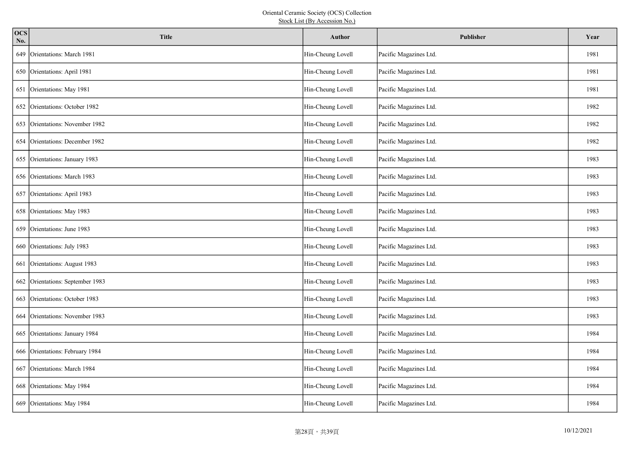| ocs<br>No. | <b>Title</b>                     | <b>Author</b>     | Publisher              | Year |
|------------|----------------------------------|-------------------|------------------------|------|
| 649        | Orientations: March 1981         | Hin-Cheung Lovell | Pacific Magazines Ltd. | 1981 |
|            | 650 Orientations: April 1981     | Hin-Cheung Lovell | Pacific Magazines Ltd. | 1981 |
|            | 651 Orientations: May 1981       | Hin-Cheung Lovell | Pacific Magazines Ltd. | 1981 |
|            | 652 Orientations: October 1982   | Hin-Cheung Lovell | Pacific Magazines Ltd. | 1982 |
|            | 653 Orientations: November 1982  | Hin-Cheung Lovell | Pacific Magazines Ltd. | 1982 |
|            | 654 Orientations: December 1982  | Hin-Cheung Lovell | Pacific Magazines Ltd. | 1982 |
|            | 655 Orientations: January 1983   | Hin-Cheung Lovell | Pacific Magazines Ltd. | 1983 |
|            | 656 Orientations: March 1983     | Hin-Cheung Lovell | Pacific Magazines Ltd. | 1983 |
|            | 657 Orientations: April 1983     | Hin-Cheung Lovell | Pacific Magazines Ltd. | 1983 |
|            | 658 Orientations: May 1983       | Hin-Cheung Lovell | Pacific Magazines Ltd. | 1983 |
| 659        | Orientations: June 1983          | Hin-Cheung Lovell | Pacific Magazines Ltd. | 1983 |
|            | 660 Orientations: July 1983      | Hin-Cheung Lovell | Pacific Magazines Ltd. | 1983 |
| 661        | Orientations: August 1983        | Hin-Cheung Lovell | Pacific Magazines Ltd. | 1983 |
|            | 662 Orientations: September 1983 | Hin-Cheung Lovell | Pacific Magazines Ltd. | 1983 |
|            | 663 Orientations: October 1983   | Hin-Cheung Lovell | Pacific Magazines Ltd. | 1983 |
|            | 664 Orientations: November 1983  | Hin-Cheung Lovell | Pacific Magazines Ltd. | 1983 |
|            | 665 Orientations: January 1984   | Hin-Cheung Lovell | Pacific Magazines Ltd. | 1984 |
|            | 666 Orientations: February 1984  | Hin-Cheung Lovell | Pacific Magazines Ltd. | 1984 |
| 667        | Orientations: March 1984         | Hin-Cheung Lovell | Pacific Magazines Ltd. | 1984 |
|            | 668 Orientations: May 1984       | Hin-Cheung Lovell | Pacific Magazines Ltd. | 1984 |
|            | 669 Orientations: May 1984       | Hin-Cheung Lovell | Pacific Magazines Ltd. | 1984 |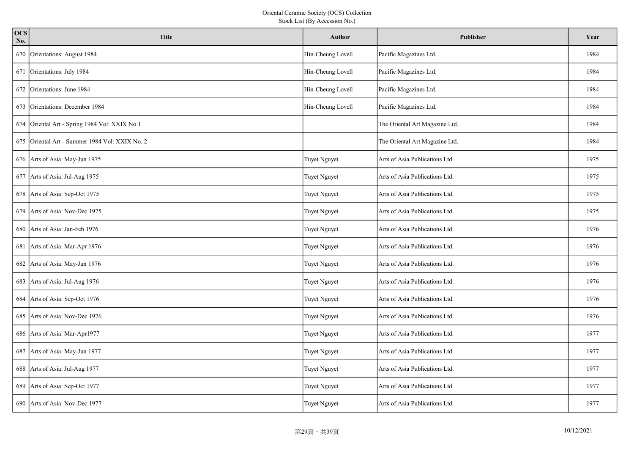| <b>OCS</b><br>No. | <b>Title</b>                                   | Author              | <b>Publisher</b>               | Year |
|-------------------|------------------------------------------------|---------------------|--------------------------------|------|
|                   | 670 Orientations: August 1984                  | Hin-Cheung Lovell   | Pacific Magazines Ltd.         | 1984 |
|                   | 671 Orientations: July 1984                    | Hin-Cheung Lovell   | Pacific Magazines Ltd.         | 1984 |
|                   | 672 Orientations: June 1984                    | Hin-Cheung Lovell   | Pacific Magazines Ltd.         | 1984 |
| 673               | Orientations: December 1984                    | Hin-Cheung Lovell   | Pacific Magazines Ltd.         | 1984 |
|                   | 674 Oriental Art - Spring 1984 Vol: XXIX No.1  |                     | The Oriental Art Magazine Ltd. | 1984 |
|                   | 675 Oriental Art - Summer 1984 Vol: XXIX No. 2 |                     | The Oriental Art Magazine Ltd. | 1984 |
|                   | 676 Arts of Asia: May-Jun 1975                 | <b>Tuyet Nguyet</b> | Arts of Asia Publications Ltd. | 1975 |
|                   | 677 Arts of Asia: Jul-Aug 1975                 | Tuyet Nguyet        | Arts of Asia Publications Ltd. | 1975 |
|                   | 678 Arts of Asia: Sep-Oct 1975                 | <b>Tuyet Nguyet</b> | Arts of Asia Publications Ltd. | 1975 |
|                   | 679 Arts of Asia: Nov-Dec 1975                 | <b>Tuyet Nguyet</b> | Arts of Asia Publications Ltd. | 1975 |
|                   | 680 Arts of Asia: Jan-Feb 1976                 | Tuyet Nguyet        | Arts of Asia Publications Ltd. | 1976 |
|                   | 681 Arts of Asia: Mar-Apr 1976                 | <b>Tuyet Nguyet</b> | Arts of Asia Publications Ltd. | 1976 |
|                   | 682 Arts of Asia: May-Jun 1976                 | Tuyet Nguyet        | Arts of Asia Publications Ltd. | 1976 |
|                   | 683 Arts of Asia: Jul-Aug 1976                 | <b>Tuyet Nguyet</b> | Arts of Asia Publications Ltd. | 1976 |
|                   | 684 Arts of Asia: Sep-Oct 1976                 | Tuyet Nguyet        | Arts of Asia Publications Ltd. | 1976 |
|                   | 685 Arts of Asia: Nov-Dec 1976                 | <b>Tuyet Nguyet</b> | Arts of Asia Publications Ltd. | 1976 |
|                   | 686 Arts of Asia: Mar-Apr1977                  | <b>Tuyet Nguyet</b> | Arts of Asia Publications Ltd. | 1977 |
|                   | 687 Arts of Asia: May-Jun 1977                 | Tuyet Nguyet        | Arts of Asia Publications Ltd. | 1977 |
|                   | 688 Arts of Asia: Jul-Aug 1977                 | <b>Tuyet Nguyet</b> | Arts of Asia Publications Ltd. | 1977 |
|                   | 689 Arts of Asia: Sep-Oct 1977                 | <b>Tuyet Nguyet</b> | Arts of Asia Publications Ltd. | 1977 |
|                   | 690 Arts of Asia: Nov-Dec 1977                 | Tuyet Nguyet        | Arts of Asia Publications Ltd. | 1977 |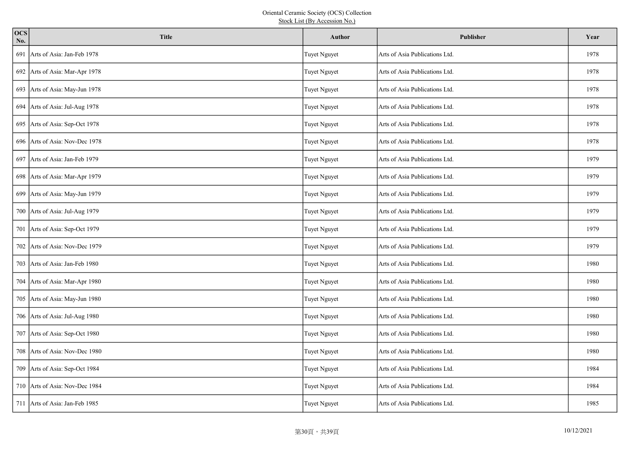| <b>OCS</b><br>No. | <b>Title</b>                     | Author              | <b>Publisher</b>               | Year |
|-------------------|----------------------------------|---------------------|--------------------------------|------|
| 691               | Arts of Asia: Jan-Feb 1978       | Tuyet Nguyet        | Arts of Asia Publications Ltd. | 1978 |
|                   | 692 Arts of Asia: Mar-Apr 1978   | <b>Tuyet Nguyet</b> | Arts of Asia Publications Ltd. | 1978 |
|                   | 693 Arts of Asia: May-Jun 1978   | Tuyet Nguyet        | Arts of Asia Publications Ltd. | 1978 |
|                   | 694 Arts of Asia: Jul-Aug 1978   | Tuyet Nguyet        | Arts of Asia Publications Ltd. | 1978 |
|                   | 695 Arts of Asia: Sep-Oct 1978   | <b>Tuyet Nguyet</b> | Arts of Asia Publications Ltd. | 1978 |
| 696               | Arts of Asia: Nov-Dec 1978       | Tuyet Nguyet        | Arts of Asia Publications Ltd. | 1978 |
|                   | 697 Arts of Asia: Jan-Feb 1979   | <b>Tuyet Nguyet</b> | Arts of Asia Publications Ltd. | 1979 |
|                   | 698 Arts of Asia: Mar-Apr 1979   | Tuyet Nguyet        | Arts of Asia Publications Ltd. | 1979 |
|                   | 699 Arts of Asia: May-Jun 1979   | <b>Tuyet Nguyet</b> | Arts of Asia Publications Ltd. | 1979 |
|                   | 700 Arts of Asia: Jul-Aug 1979   | Tuyet Nguyet        | Arts of Asia Publications Ltd. | 1979 |
|                   | 701 Arts of Asia: Sep-Oct 1979   | Tuyet Nguyet        | Arts of Asia Publications Ltd. | 1979 |
| 702               | Arts of Asia: Nov-Dec 1979       | <b>Tuyet Nguyet</b> | Arts of Asia Publications Ltd. | 1979 |
|                   | 703 Arts of Asia: Jan-Feb 1980   | Tuyet Nguyet        | Arts of Asia Publications Ltd. | 1980 |
|                   | 704 Arts of Asia: Mar-Apr 1980   | Tuyet Nguyet        | Arts of Asia Publications Ltd. | 1980 |
|                   | 705 Arts of Asia: May-Jun 1980   | Tuyet Nguyet        | Arts of Asia Publications Ltd. | 1980 |
|                   | 706 Arts of Asia: Jul-Aug 1980   | Tuyet Nguyet        | Arts of Asia Publications Ltd. | 1980 |
|                   | 707 Arts of Asia: Sep-Oct 1980   | Tuyet Nguyet        | Arts of Asia Publications Ltd. | 1980 |
| 708               | Arts of Asia: Nov-Dec 1980       | Tuyet Nguyet        | Arts of Asia Publications Ltd. | 1980 |
|                   | 709 Arts of Asia: Sep-Oct 1984   | <b>Tuyet Nguyet</b> | Arts of Asia Publications Ltd. | 1984 |
| 710               | Arts of Asia: Nov-Dec 1984       | <b>Tuyet Nguyet</b> | Arts of Asia Publications Ltd. | 1984 |
|                   | 711   Arts of Asia: Jan-Feb 1985 | Tuyet Nguyet        | Arts of Asia Publications Ltd. | 1985 |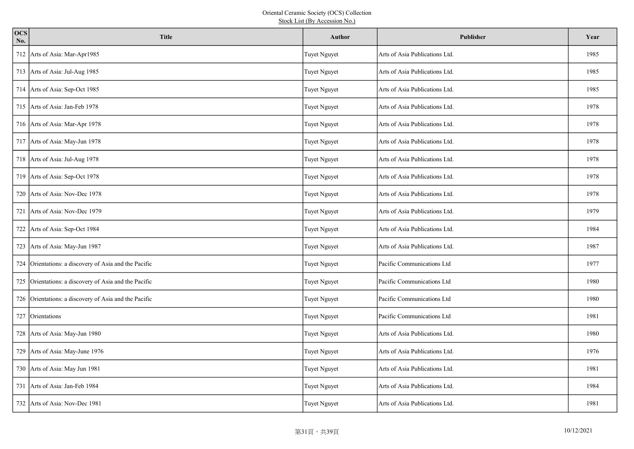| ocs<br>No. | <b>Title</b>                                          | <b>Author</b>       | <b>Publisher</b>               | Year |
|------------|-------------------------------------------------------|---------------------|--------------------------------|------|
| 712        | Arts of Asia: Mar-Apr1985                             | <b>Tuyet Nguyet</b> | Arts of Asia Publications Ltd. | 1985 |
|            | 713 Arts of Asia: Jul-Aug 1985                        | <b>Tuyet Nguyet</b> | Arts of Asia Publications Ltd. | 1985 |
|            | 714 Arts of Asia: Sep-Oct 1985                        | Tuyet Nguyet        | Arts of Asia Publications Ltd. | 1985 |
|            | 715 Arts of Asia: Jan-Feb 1978                        | <b>Tuyet Nguyet</b> | Arts of Asia Publications Ltd. | 1978 |
|            | 716 Arts of Asia: Mar-Apr 1978                        | Tuyet Nguyet        | Arts of Asia Publications Ltd. | 1978 |
|            | 717 Arts of Asia: May-Jun 1978                        | Tuyet Nguyet        | Arts of Asia Publications Ltd. | 1978 |
|            | 718 Arts of Asia: Jul-Aug 1978                        | <b>Tuyet Nguyet</b> | Arts of Asia Publications Ltd. | 1978 |
|            | 719 Arts of Asia: Sep-Oct 1978                        | Tuyet Nguyet        | Arts of Asia Publications Ltd. | 1978 |
| 720        | Arts of Asia: Nov-Dec 1978                            | <b>Tuyet Nguyet</b> | Arts of Asia Publications Ltd. | 1978 |
|            | 721 Arts of Asia: Nov-Dec 1979                        | <b>Tuyet Nguyet</b> | Arts of Asia Publications Ltd. | 1979 |
|            | 722 Arts of Asia: Sep-Oct 1984                        | Tuyet Nguyet        | Arts of Asia Publications Ltd. | 1984 |
|            | 723 Arts of Asia: May-Jun 1987                        | <b>Tuyet Nguyet</b> | Arts of Asia Publications Ltd. | 1987 |
|            | 724 Orientations: a discovery of Asia and the Pacific | Tuyet Nguyet        | Pacific Communications Ltd     | 1977 |
|            | 725 Orientations: a discovery of Asia and the Pacific | <b>Tuyet Nguyet</b> | Pacific Communications Ltd     | 1980 |
|            | 726 Orientations: a discovery of Asia and the Pacific | Tuyet Nguyet        | Pacific Communications Ltd     | 1980 |
|            | 727 Orientations                                      | Tuyet Nguyet        | Pacific Communications Ltd     | 1981 |
|            | 728 Arts of Asia: May-Jun 1980                        | <b>Tuyet Nguyet</b> | Arts of Asia Publications Ltd. | 1980 |
|            | 729 Arts of Asia: May-June 1976                       | Tuyet Nguyet        | Arts of Asia Publications Ltd. | 1976 |
|            | 730 Arts of Asia: May Jun 1981                        | <b>Tuyet Nguyet</b> | Arts of Asia Publications Ltd. | 1981 |
|            | 731 Arts of Asia: Jan-Feb 1984                        | <b>Tuyet Nguyet</b> | Arts of Asia Publications Ltd. | 1984 |
|            | 732 Arts of Asia: Nov-Dec 1981                        | Tuyet Nguyet        | Arts of Asia Publications Ltd. | 1981 |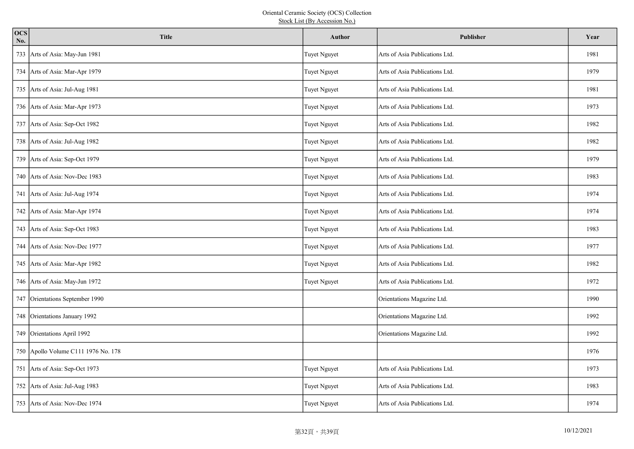| ocs<br>No. | <b>Title</b>                        | <b>Author</b>       | <b>Publisher</b>               | Year |
|------------|-------------------------------------|---------------------|--------------------------------|------|
| 733        | Arts of Asia: May-Jun 1981          | <b>Tuyet Nguyet</b> | Arts of Asia Publications Ltd. | 1981 |
|            | 734 Arts of Asia: Mar-Apr 1979      | <b>Tuyet Nguyet</b> | Arts of Asia Publications Ltd. | 1979 |
|            | 735 Arts of Asia: Jul-Aug 1981      | Tuyet Nguyet        | Arts of Asia Publications Ltd. | 1981 |
|            | 736 Arts of Asia: Mar-Apr 1973      | <b>Tuyet Nguyet</b> | Arts of Asia Publications Ltd. | 1973 |
|            | 737 Arts of Asia: Sep-Oct 1982      | Tuyet Nguyet        | Arts of Asia Publications Ltd. | 1982 |
|            | 738 Arts of Asia: Jul-Aug 1982      | Tuyet Nguyet        | Arts of Asia Publications Ltd. | 1982 |
|            | 739 Arts of Asia: Sep-Oct 1979      | <b>Tuyet Nguyet</b> | Arts of Asia Publications Ltd. | 1979 |
|            | 740   Arts of Asia: Nov-Dec 1983    | Tuyet Nguyet        | Arts of Asia Publications Ltd. | 1983 |
|            | 741 Arts of Asia: Jul-Aug 1974      | <b>Tuyet Nguyet</b> | Arts of Asia Publications Ltd. | 1974 |
|            | 742 Arts of Asia: Mar-Apr 1974      | <b>Tuyet Nguyet</b> | Arts of Asia Publications Ltd. | 1974 |
|            | 743 Arts of Asia: Sep-Oct 1983      | Tuyet Nguyet        | Arts of Asia Publications Ltd. | 1983 |
|            | 744 Arts of Asia: Nov-Dec 1977      | <b>Tuyet Nguyet</b> | Arts of Asia Publications Ltd. | 1977 |
|            | 745 Arts of Asia: Mar-Apr 1982      | Tuyet Nguyet        | Arts of Asia Publications Ltd. | 1982 |
|            | 746 Arts of Asia: May-Jun 1972      | <b>Tuyet Nguyet</b> | Arts of Asia Publications Ltd. | 1972 |
|            | 747 Orientations September 1990     |                     | Orientations Magazine Ltd.     | 1990 |
|            | 748 Orientations January 1992       |                     | Orientations Magazine Ltd.     | 1992 |
|            | 749 Orientations April 1992         |                     | Orientations Magazine Ltd.     | 1992 |
|            | 750 Apollo Volume C111 1976 No. 178 |                     |                                | 1976 |
|            | 751 Arts of Asia: Sep-Oct 1973      | <b>Tuyet Nguyet</b> | Arts of Asia Publications Ltd. | 1973 |
|            | 752 Arts of Asia: Jul-Aug 1983      | <b>Tuyet Nguyet</b> | Arts of Asia Publications Ltd. | 1983 |
|            | 753 Arts of Asia: Nov-Dec 1974      | Tuyet Nguyet        | Arts of Asia Publications Ltd. | 1974 |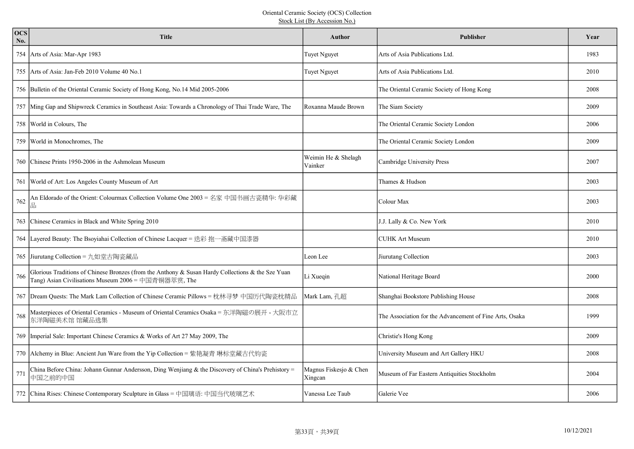| <b>OCS</b><br>No. | <b>Title</b>                                                                                                                                              | <b>Author</b>                     | <b>Publisher</b>                                        | Year |
|-------------------|-----------------------------------------------------------------------------------------------------------------------------------------------------------|-----------------------------------|---------------------------------------------------------|------|
|                   | 754 Arts of Asia: Mar-Apr 1983                                                                                                                            | <b>Tuyet Nguyet</b>               | Arts of Asia Publications Ltd.                          | 1983 |
|                   | 755 Arts of Asia: Jan-Feb 2010 Volume 40 No.1                                                                                                             | <b>Tuyet Nguyet</b>               | Arts of Asia Publications Ltd.                          | 2010 |
|                   | 756 Bulletin of the Oriental Ceramic Society of Hong Kong, No.14 Mid 2005-2006                                                                            |                                   | The Oriental Ceramic Society of Hong Kong               | 2008 |
|                   | 757 Ming Gap and Shipwreck Ceramics in Southeast Asia: Towards a Chronology of Thai Trade Ware, The                                                       | Roxanna Maude Brown               | The Siam Society                                        | 2009 |
|                   | 758 World in Colours, The                                                                                                                                 |                                   | The Oriental Ceramic Society London                     | 2006 |
|                   | 759   World in Monochromes, The                                                                                                                           |                                   | The Oriental Ceramic Society London                     | 2009 |
|                   | 760 Chinese Prints 1950-2006 in the Ashmolean Museum                                                                                                      | Weimin He & Shelagh<br>Vainker    | Cambridge University Press                              | 2007 |
|                   | 761 World of Art: Los Angeles County Museum of Art                                                                                                        |                                   | Thames & Hudson                                         | 2003 |
| 762               | An Eldorado of the Orient: Colourmax Collection Volume One 2003 = 名家 中国书画古瓷精华: 华彩藏<br>品                                                                   |                                   | Colour Max                                              | 2003 |
|                   | 763 Chinese Ceramics in Black and White Spring 2010                                                                                                       |                                   | J.J. Lally & Co. New York                               | 2010 |
|                   | 764 Layered Beauty: The Bsoyiahai Collection of Chinese Lacquer = 迭彩 抱一斋藏中国漆器                                                                             |                                   | <b>CUHK Art Museum</b>                                  | 2010 |
|                   | 765 Jiurutang Collection = 九如堂古陶瓷藏品                                                                                                                       | Leon Lee                          | Jiurutang Collection                                    | 2003 |
| 766               | Glorious Traditions of Chinese Bronzes (from the Anthony & Susan Hardy Collections & the Sze Yuan<br>Tang) Asian Civilisations Museum 2006 = 中国青铜器萃赏, The | Li Xueqin                         | National Heritage Board                                 | 2000 |
|                   | 767   Dream Quests: The Mark Lam Collection of Chinese Ceramic Pillows = 枕林寻梦 中国历代陶瓷枕精品                                                                   | Mark Lam, 孔超                      | Shanghai Bookstore Publishing House                     | 2008 |
| 768               | Masterpieces of Oriental Ceramics - Museum of Oriental Ceramics Osaka = 东洋陶磁の展开 - 大阪市立<br>东洋陶磁美术馆 馆藏品选集                                                   |                                   | The Association for the Advancement of Fine Arts, Osaka | 1999 |
|                   | 769   Imperial Sale: Important Chinese Ceramics & Works of Art 27 May 2009, The                                                                           |                                   | Christie's Hong Kong                                    | 2009 |
|                   | 770 Alchemy in Blue: Ancient Jun Ware from the Yip Collection = 紫艳凝青 琳标堂藏古代钧瓷                                                                             |                                   | University Museum and Art Gallery HKU                   | 2008 |
| 771               | China Before China: Johann Gunnar Andersson, Ding Wenjiang & the Discovery of China's Prehistory =<br>中国之前的中国                                             | Magnus Fiskesjo & Chen<br>Xingcan | Museum of Far Eastern Antiquities Stockholm             | 2004 |
|                   | 772 China Rises: Chinese Contemporary Sculpture in Glass = 中国璃语: 中国当代玻璃艺术                                                                                 | Vanessa Lee Taub                  | Galerie Vee                                             | 2006 |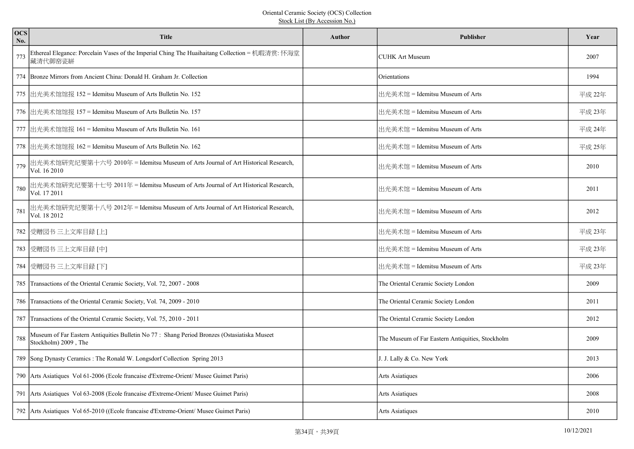| <b>OCS</b><br>No. | <b>Title</b>                                                                                                         | <b>Author</b> | <b>Publisher</b>                                 | Year   |
|-------------------|----------------------------------------------------------------------------------------------------------------------|---------------|--------------------------------------------------|--------|
| 773               | Ethereal Elegance: Porcelain Vases of the Imperial Ching The Huaihaitang Collection = 机暇清赏: 怀海堂<br>藏清代御窑瓷缾           |               | <b>CUHK Art Museum</b>                           | 2007   |
|                   | 774 Bronze Mirrors from Ancient China: Donald H. Graham Jr. Collection                                               |               | Orientations                                     | 1994   |
|                   | 775 出光美术馆馆报 152 = Idemitsu Museum of Arts Bulletin No. 152                                                           |               | 出光美术馆 = Idemitsu Museum of Arts                  | 平成 22年 |
|                   | 776 出光美术馆馆报 157 = Idemitsu Museum of Arts Bulletin No. 157                                                           |               | 出光美术馆 = Idemitsu Museum of Arts                  | 平成 23年 |
|                   | 777  出光美术馆馆报 161 = Idemitsu Museum of Arts Bulletin No. 161                                                          |               | 出光美术馆 = Idemitsu Museum of Arts                  | 平成 24年 |
|                   | 778 出光美术馆馆报 162 = Idemitsu Museum of Arts Bulletin No. 162                                                           |               | 出光美术馆 = Idemitsu Museum of Arts                  | 平成 25年 |
| 779               | 出光美术馆研究纪要第十六号 2010年 = Idemitsu Museum of Arts Journal of Art Historical Research,<br>Vol. 16 2010                    |               | 出光美术馆 = Idemitsu Museum of Arts                  | 2010   |
| 780               | 出光美术馆研究纪要第十七号 2011年 = Idemitsu Museum of Arts Journal of Art Historical Research,<br>Vol. 17 2011                    |               | 出光美术馆 = Idemitsu Museum of Arts                  | 2011   |
| 781               | 出光美术馆研究纪要第十八号 2012年 = Idemitsu Museum of Arts Journal of Art Historical Research,<br>Vol. 18 2012                    |               | 出光美术馆 = Idemitsu Museum of Arts                  | 2012   |
|                   | 782 受赠図书 三上文库目録 [上]                                                                                                  |               | 出光美术馆 = Idemitsu Museum of Arts                  | 平成 23年 |
|                   | 783 受赠図书 三上文库目録 [中]                                                                                                  |               | 出光美术馆 = Idemitsu Museum of Arts                  | 平成 23年 |
|                   | 784 受赠図书 三上文库目録 [下]                                                                                                  |               | 出光美术馆 = Idemitsu Museum of Arts                  | 平成 23年 |
|                   | 785 Transactions of the Oriental Ceramic Society, Vol. 72, 2007 - 2008                                               |               | The Oriental Ceramic Society London              | 2009   |
|                   | 786 Transactions of the Oriental Ceramic Society, Vol. 74, 2009 - 2010                                               |               | The Oriental Ceramic Society London              | 2011   |
|                   | 787 Transactions of the Oriental Ceramic Society, Vol. 75, 2010 - 2011                                               |               | The Oriental Ceramic Society London              | 2012   |
| 788               | Museum of Far Eastern Antiquities Bulletin No 77 : Shang Period Bronzes (Ostasiatiska Museet<br>Stockholm) 2009, The |               | The Museum of Far Eastern Antiquities, Stockholm | 2009   |
|                   | 789 Song Dynasty Ceramics: The Ronald W. Longsdorf Collection Spring 2013                                            |               | J. J. Lally & Co. New York                       | 2013   |
|                   | 790 Arts Asiatiques Vol 61-2006 (Ecole francaise d'Extreme-Orient/ Musee Guimet Paris)                               |               | Arts Asiatiques                                  | 2006   |
|                   | 791   Arts Asiatiques Vol 63-2008 (Ecole francaise d'Extreme-Orient/ Musee Guimet Paris)                             |               | Arts Asiatiques                                  | 2008   |
|                   | 792 Arts Asiatiques Vol 65-2010 ((Ecole francaise d'Extreme-Orient/Musee Guimet Paris)                               |               | <b>Arts Asiatiques</b>                           | 2010   |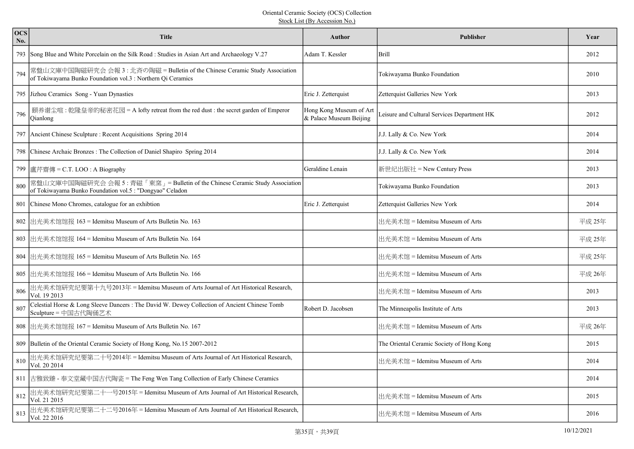| <b>OCS</b><br>No. | <b>Title</b>                                                                                                                                 | Author                                             | Publisher                                   | Year   |
|-------------------|----------------------------------------------------------------------------------------------------------------------------------------------|----------------------------------------------------|---------------------------------------------|--------|
|                   | 793 Song Blue and White Porcelain on the Silk Road : Studies in Asian Art and Archaeology V.27                                               | Adam T. Kessler                                    | Brill                                       | 2012   |
| 794               | 常盤山文庫中国陶磁研究会 会報 3 : 北斉の陶磁 = Bulletin of the Chinese Ceramic Study Association<br>of Tokiwayama Bunko Foundation vol.3 : Northern Qi Ceramics |                                                    | Tokiwayama Bunko Foundation                 | 2010   |
|                   | 795 Jizhou Ceramics Song - Yuan Dynasties                                                                                                    | Eric J. Zetterquist                                | Zetterquist Galleries New York              | 2013   |
| 796               | 颐养谢尘喧:乾隆皇帝的秘密花园 = A lofty retreat from the red dust : the secret garden of Emperor<br>Qianlong                                               | Hong Kong Museum of Art<br>& Palace Museum Beijing | Leisure and Cultural Services Department HK | 2012   |
|                   | 797 Ancient Chinese Sculpture : Recent Acquisitions Spring 2014                                                                              |                                                    | J.J. Lally & Co. New York                   | 2014   |
|                   | 798 Chinese Archaic Bronzes : The Collection of Daniel Shapiro Spring 2014                                                                   |                                                    | J.J. Lally & Co. New York                   | 2014   |
|                   | 799 盧芹齋傳 = C.T. LOO : A Biography                                                                                                            | Geraldine Lenain                                   | 新世纪出版社 = New Century Press                  | 2013   |
| 800               | 常盤山文庫中国陶磁研究会 会報 5 : 青磁「東窯」= Bulletin of the Chinese Ceramic Study Association<br>of Tokiwayama Bunko Foundation vol.5 : "Dongyao" Celadon    |                                                    | Tokiwayama Bunko Foundation                 | 2013   |
| 801               | Chinese Mono Chromes, catalogue for an exhibtion                                                                                             | Eric J. Zetterquist                                | Zetterquist Galleries New York              | 2014   |
|                   | 802 出光美术馆馆报 163 = Idemitsu Museum of Arts Bulletin No. 163                                                                                   |                                                    | 出光美术馆 = Idemitsu Museum of Arts             | 平成 25年 |
|                   | 803 出光美术馆馆报 164 = Idemitsu Museum of Arts Bulletin No. 164                                                                                   |                                                    | 出光美术馆 = Idemitsu Museum of Arts             | 平成 25年 |
|                   | 804 出光美术馆馆报 165 = Idemitsu Museum of Arts Bulletin No. 165                                                                                   |                                                    | 出光美术馆 = Idemitsu Museum of Arts             | 平成 25年 |
|                   | 805 出光美术馆馆报 166 = Idemitsu Museum of Arts Bulletin No. 166                                                                                   |                                                    | 出光美术馆 = Idemitsu Museum of Arts             | 平成 26年 |
| 806               | 出光美术馆研究纪要第十九号2013年 = Idemitsu Museum of Arts Journal of Art Historical Research,<br>Vol. 19 2013                                             |                                                    | 出光美术馆 = Idemitsu Museum of Arts             | 2013   |
| 807               | Celestial Horse & Long Sleeve Dancers : The David W. Dewey Collection of Ancient Chinese Tomb<br>Sculpture = 中国古代陶俑艺术                        | Robert D. Jacobsen                                 | The Minneapolis Institute of Arts           | 2013   |
|                   | 808 出光美术馆馆报 167 = Idemitsu Museum of Arts Bulletin No. 167                                                                                   |                                                    | 出光美术馆 = Idemitsu Museum of Arts             | 平成 26年 |
|                   | 809 Bulletin of the Oriental Ceramic Society of Hong Kong, No.15 2007-2012                                                                   |                                                    | The Oriental Ceramic Society of Hong Kong   | 2015   |
| 810               | 出光美术馆研究纪要第二十号2014年 = Idemitsu Museum of Arts Journal of Art Historical Research,<br>Vol. 20 2014                                             |                                                    | 出光美术馆 = Idemitsu Museum of Arts             | 2014   |
|                   | 811 古雅致臻 - 奉文堂藏中国古代陶瓷 = The Feng Wen Tang Collection of Early Chinese Ceramics                                                               |                                                    |                                             | 2014   |
| 812               | 出光美术馆研究纪要第二十一号2015年 = Idemitsu Museum of Arts Journal of Art Historical Research,<br>Vol. 21 2015                                            |                                                    | 出光美术馆 = Idemitsu Museum of Arts             | 2015   |
| 813               | 出光美术馆研究纪要第二十二号2016年 = Idemitsu Museum of Arts Journal of Art Historical Research,<br>Vol. 22 2016                                            |                                                    | 出光美术馆 = Idemitsu Museum of Arts             | 2016   |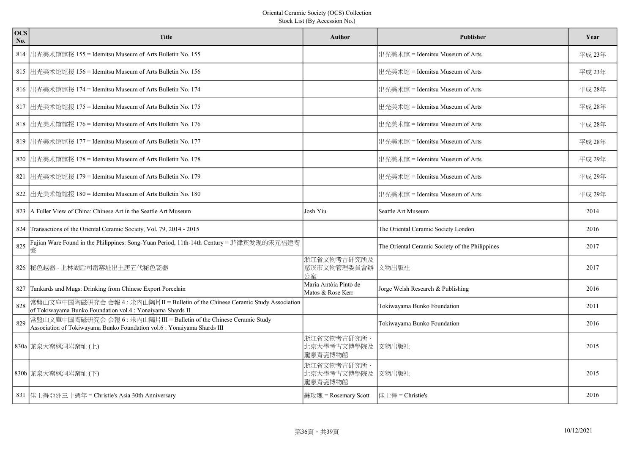| <b>OCS</b><br>No. | <b>Title</b>                                                                                                                                    | <b>Author</b>                              | <b>Publisher</b>                                | Year   |
|-------------------|-------------------------------------------------------------------------------------------------------------------------------------------------|--------------------------------------------|-------------------------------------------------|--------|
|                   | 814 出光美术馆馆报 155 = Idemitsu Museum of Arts Bulletin No. 155                                                                                      |                                            | 出光美术馆 = Idemitsu Museum of Arts                 | 平成 23年 |
|                   | 815 出光美术馆馆报 156 = Idemitsu Museum of Arts Bulletin No. 156                                                                                      |                                            | 出光美术馆 = Idemitsu Museum of Arts                 | 平成 23年 |
|                   | 816 出光美术馆馆报 174 = Idemitsu Museum of Arts Bulletin No. 174                                                                                      |                                            | 出光美术馆 = Idemitsu Museum of Arts                 | 平成 28年 |
|                   | 817 出光美术馆馆报 175 = Idemitsu Museum of Arts Bulletin No. 175                                                                                      |                                            | 出光美术馆 = Idemitsu Museum of Arts                 | 平成 28年 |
|                   | 818 出光美术馆馆报 176 = Idemitsu Museum of Arts Bulletin No. 176                                                                                      |                                            | 出光美术馆 = Idemitsu Museum of Arts                 | 平成 28年 |
|                   | 819 出光美术馆馆报 177 = Idemitsu Museum of Arts Bulletin No. 177                                                                                      |                                            | 出光美术馆 = Idemitsu Museum of Arts                 | 平成 28年 |
|                   | 820 出光美术馆馆报 178 = Idemitsu Museum of Arts Bulletin No. 178                                                                                      |                                            | 出光美术馆 = Idemitsu Museum of Arts                 | 平成 29年 |
|                   | 821 出光美术馆馆报 179 = Idemitsu Museum of Arts Bulletin No. 179                                                                                      |                                            | 出光美术馆 = Idemitsu Museum of Arts                 | 平成 29年 |
|                   | 822 出光美术馆馆报 180 = Idemitsu Museum of Arts Bulletin No. 180                                                                                      |                                            | 出光美术馆 = Idemitsu Museum of Arts                 | 平成 29年 |
|                   | 823 A Fuller View of China: Chinese Art in the Seattle Art Museum                                                                               | Josh Yiu                                   | Seattle Art Museum                              | 2014   |
|                   | 824 Transactions of the Oriental Ceramic Society, Vol. 79, 2014 - 2015                                                                          |                                            | The Oriental Ceramic Society London             | 2016   |
| 825               | Fujian Ware Found in the Philippines: Song-Yuan Period, 11th-14th Century = 菲律宾发现的宋元福建陶<br>瓷                                                    |                                            | The Oriental Ceramic Society of the Philippines | 2017   |
|                   | 826 秘色越器 - 上林湖后司岙窑址出土唐五代秘色瓷器                                                                                                                    | 浙江省文物考古矸究所及<br>慈溪市文物管理委員會辦<br>公室           | 文物出版社                                           | 2017   |
|                   | 827 Tankards and Mugs: Drinking from Chinese Export Porcelain                                                                                   | Maria Antóia Pinto de<br>Matos & Rose Kerr | Jorge Welsh Research & Publishing               | 2016   |
| 828               | 常盤山文庫中国陶磁研究会 会報 4 : 米内山陶片II = Bulletin of the Chinese Ceramic Study Association<br>of Tokiwayama Bunko Foundation vol.4 : Yonaiyama Shards II   |                                            | Tokiwayama Bunko Foundation                     | 2011   |
| 829               | 常盤山文庫中国陶磁研究会 会報 6 : 米内山陶片III = Bulletin of the Chinese Ceramic Study<br>Association of Tokiwayama Bunko Foundation vol.6 : Yonaiyama Shards III |                                            | Tokiwayama Bunko Foundation                     | 2016   |
|                   | 830a 龙泉大窑枫洞岩窑址(上)                                                                                                                               | 浙江省文物考古矸究所、<br>北京大學考古文博學院及<br>龍泉青瓷博物館      | 文物出版社                                           | 2015   |
|                   | 830b 龙泉大窑枫洞岩窑址(下)                                                                                                                               | 浙江省文物考古矸究所、<br>北京大學考古文博學院及<br>龍泉青瓷博物館      | 文物出版社                                           | 2015   |
|                   | 831 佳士得亞洲三十週年 = Christie's Asia 30th Anniversary                                                                                                | 蘇玫瑰 = Rosemary Scott                       | 佳士得 = Christie's                                | 2016   |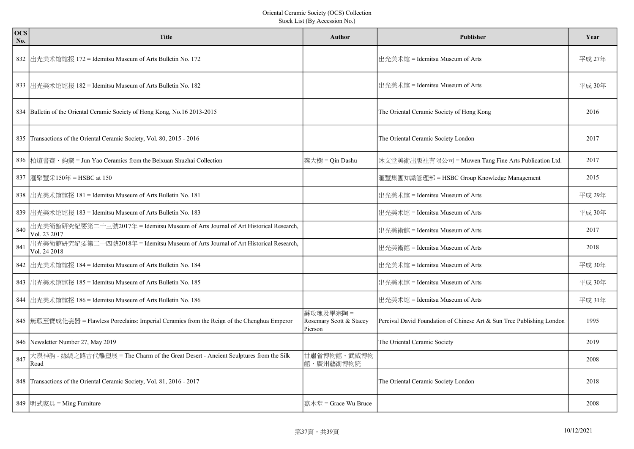| <b>OCS</b><br>No. | <b>Title</b>                                                                                      | Author                                         | <b>Publisher</b>                                                      | Year   |
|-------------------|---------------------------------------------------------------------------------------------------|------------------------------------------------|-----------------------------------------------------------------------|--------|
|                   | 832 出光美术馆馆报 172 = Idemitsu Museum of Arts Bulletin No. 172                                        |                                                | 出光美术馆 = Idemitsu Museum of Arts                                       | 平成 27年 |
|                   | 833  出光美术馆馆报 182 = Idemitsu Museum of Arts Bulletin No. 182                                       |                                                | 出光美术馆 = Idemitsu Museum of Arts                                       | 平成 30年 |
|                   | 834 Bulletin of the Oriental Ceramic Society of Hong Kong, No.16 2013-2015                        |                                                | The Oriental Ceramic Society of Hong Kong                             | 2016   |
|                   | 835 Transactions of the Oriental Ceramic Society, Vol. 80, 2015 - 2016                            |                                                | The Oriental Ceramic Society London                                   | 2017   |
|                   | 836 柏煊書齋 · 鈞窯 = Jun Yao Ceramics from the Beixuan Shuzhai Collection                              | 秦大樹 = Qin Dashu                                | 沐文堂美術出版社有限公司 = Muwen Tang Fine Arts Publication Ltd.                  | 2017   |
|                   | 837 匯聚豐采150年 = HSBC at 150                                                                        |                                                | 滙豐集團知識管理部 = HSBC Group Knowledge Management                           | 2015   |
|                   | 838  出光美术馆馆报 181 = Idemitsu Museum of Arts Bulletin No. 181                                       |                                                | 出光美术馆 = Idemitsu Museum of Arts                                       | 平成 29年 |
|                   | 839 出光美术馆馆报 183 = Idemitsu Museum of Arts Bulletin No. 183                                        |                                                | 出光美术馆 = Idemitsu Museum of Arts                                       | 平成 30年 |
| 840               | 出光美術館研究紀要第二十三號2017年 = Idemitsu Museum of Arts Journal of Art Historical Research,<br>Vol. 23 2017 |                                                | 出光美術館 = Idemitsu Museum of Arts                                       | 2017   |
| 841               | 出光美術館研究紀要第二十四號2018年 = Idemitsu Museum of Arts Journal of Art Historical Research,<br>Vol. 24 2018 |                                                | 出光美術館 = Idemitsu Museum of Arts                                       | 2018   |
|                   | 842 出光美术馆馆报 184 = Idemitsu Museum of Arts Bulletin No. 184                                        |                                                | 出光美术馆 = Idemitsu Museum of Arts                                       | 平成 30年 |
|                   | 843 出光美术馆馆报 185 = Idemitsu Museum of Arts Bulletin No. 185                                        |                                                | 出光美术馆 = Idemitsu Museum of Arts                                       | 平成 30年 |
|                   | 844  出光美术馆馆报 186 = Idemitsu Museum of Arts Bulletin No. 186                                       |                                                | 出光美术馆 = Idemitsu Museum of Arts                                       | 平成 31年 |
|                   | 845  無瑕至寶成化瓷器 = Flawless Porcelains: Imperial Ceramics from the Reign of the Chenghua Emperor     | 蘇玫瑰及畢宗陶=<br>Rosemary Scott & Stacey<br>Pierson | Percival David Foundation of Chinese Art & Sun Tree Publishing London | 1995   |
|                   | 846 Newsletter Number 27, May 2019                                                                |                                                | The Oriental Ceramic Society                                          | 2019   |
| 847               | 大漠神韵 - 絲綢之路古代雕塑展 = The Charm of the Great Desert - Ancient Sculptures from the Silk<br>Road       | 甘肅省博物館、武威博物<br>館、廣州藝術博物院                       |                                                                       | 2008   |
|                   | 848 Transactions of the Oriental Ceramic Society, Vol. 81, 2016 - 2017                            |                                                | The Oriental Ceramic Society London                                   | 2018   |
|                   | 849  明式家具 = Ming Furniture                                                                        | 嘉木堂 = Grace Wu Bruce                           |                                                                       | 2008   |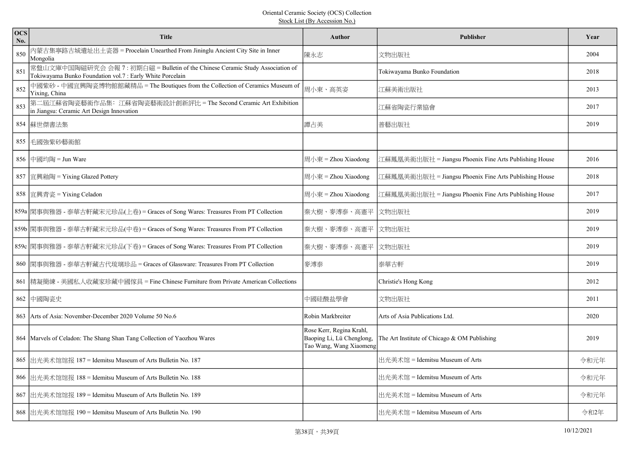| <b>OCS</b><br>No. | <b>Title</b>                                                                                                                                | <b>Author</b>                                                                    | <b>Publisher</b>                                       | Year |
|-------------------|---------------------------------------------------------------------------------------------------------------------------------------------|----------------------------------------------------------------------------------|--------------------------------------------------------|------|
| 850               | 内蒙古集寧路古城遺址出土瓷器 = Procelain Unearthed From Jininglu Ancient City Site in Inner<br>Mongolia                                                   | 陳永志                                                                              | 文物出版社                                                  | 2004 |
| 851               | 常盤山文庫中国陶磁研究会 会報 7: 初期白磁 = Bulletin of the Chinese Ceramic Study Association of<br>Tokiwayama Bunko Foundation vol.7 : Early White Porcelain |                                                                                  | Tokiwayama Bunko Foundation                            | 2018 |
| 852               | 中國紫砂 - 中國宜興陶瓷博物館館藏精品 = The Boutiques from the Collection of Ceramics Museum of<br>Yixing, China                                             | 周小東、高英姿                                                                          | 江蘇美術出版社                                                | 2013 |
| 853               | 第二屆江蘇省陶瓷藝術作品集: 江蘇省陶瓷藝術設計創新評比 = The Second Ceramic Art Exhibition<br>in Jiangsu: Ceramic Art Design Innovation                               |                                                                                  | 江蘇省陶瓷行業協會                                              | 2017 |
|                   | 854 蘇世傑書法集                                                                                                                                  | 譚占美                                                                              | 普藝出版社                                                  | 2019 |
|                   | 855 毛國強紫砂藝術館                                                                                                                                |                                                                                  |                                                        |      |
|                   | 856 中國均陶 = Jun Ware                                                                                                                         | 周小東 = Zhou Xiaodong                                                              | 江蘇鳳凰美術出版社 = Jiangsu Phoenix Fine Arts Publishing House | 2016 |
|                   | 857 宜興釉陶 = Yixing Glazed Pottery                                                                                                            | 周小東 = Zhou Xiaodong                                                              | 江蘇鳳凰美術出版社 = Jiangsu Phoenix Fine Arts Publishing House | 2018 |
|                   | 858  宜興青瓷 = Yixing Celadon                                                                                                                  | 周小東 = Zhou Xiaodong                                                              | 江蘇鳳凰美術出版社 = Jiangsu Phoenix Fine Arts Publishing House | 2017 |
|                   | 859a  閑事與雅器 - 泰華古軒藏宋元珍品(上卷) = Graces of Song Wares: Treasures From PT Collection                                                            | 秦大樹、麥溥泰、高憲平                                                                      | 文物出版社                                                  | 2019 |
|                   | 859b  閑事與雅器 - 泰華古軒藏宋元珍品(中卷) = Graces of Song Wares: Treasures From PT Collection                                                            | 秦大樹、麥溥泰、高憲平                                                                      | 文物出版社                                                  | 2019 |
|                   | 859c  閑事與雅器 - 泰華古軒藏宋元珍品(下卷) = Graces of Song Wares: Treasures From PT Collection                                                            | 秦大樹、麥溥泰、高憲平                                                                      | 文物出版社                                                  | 2019 |
|                   | 860  閑事與雅器 - 泰華古軒藏古代琉璃珍品 = Graces of Glassware: Treasures From PT Collection                                                                | 麥溥泰                                                                              | 泰華古軒                                                   | 2019 |
|                   | 861 精凝簡練 - 美國私人收藏家珍藏中國傢具 = Fine Chinese Furniture from Private American Collections                                                         |                                                                                  | Christie's Hong Kong                                   | 2012 |
|                   | 862 中國陶瓷史                                                                                                                                   | 中國硅酸盐學會                                                                          | 文物出版社                                                  | 2011 |
|                   | 863 Arts of Asia: November-December 2020 Volume 50 No.6                                                                                     | Robin Markbreiter                                                                | Arts of Asia Publications Ltd.                         | 2020 |
|                   | 864 Marvels of Celadon: The Shang Shan Tang Collection of Yaozhou Wares                                                                     | Rose Kerr, Regina Krahl,<br>Baoping Li, Lü Chenglong,<br>Tao Wang, Wang Xiaomeng | The Art Institute of Chicago & OM Publishing           | 2019 |
|                   | 865 出光美术馆馆报 187 = Idemitsu Museum of Arts Bulletin No. 187                                                                                  |                                                                                  | 出光美术馆 = Idemitsu Museum of Arts                        | 令和元年 |
|                   | 866 出光美术馆馆报 188 = Idemitsu Museum of Arts Bulletin No. 188                                                                                  |                                                                                  | 出光美术馆 = Idemitsu Museum of Arts                        | 令和元年 |
|                   | 867 出光美术馆馆报 189 = Idemitsu Museum of Arts Bulletin No. 189                                                                                  |                                                                                  | 出光美术馆 = Idemitsu Museum of Arts                        | 令和元年 |
|                   | 868 出光美术馆馆报 190 = Idemitsu Museum of Arts Bulletin No. 190                                                                                  |                                                                                  | 出光美术馆 = Idemitsu Museum of Arts                        | 令和2年 |